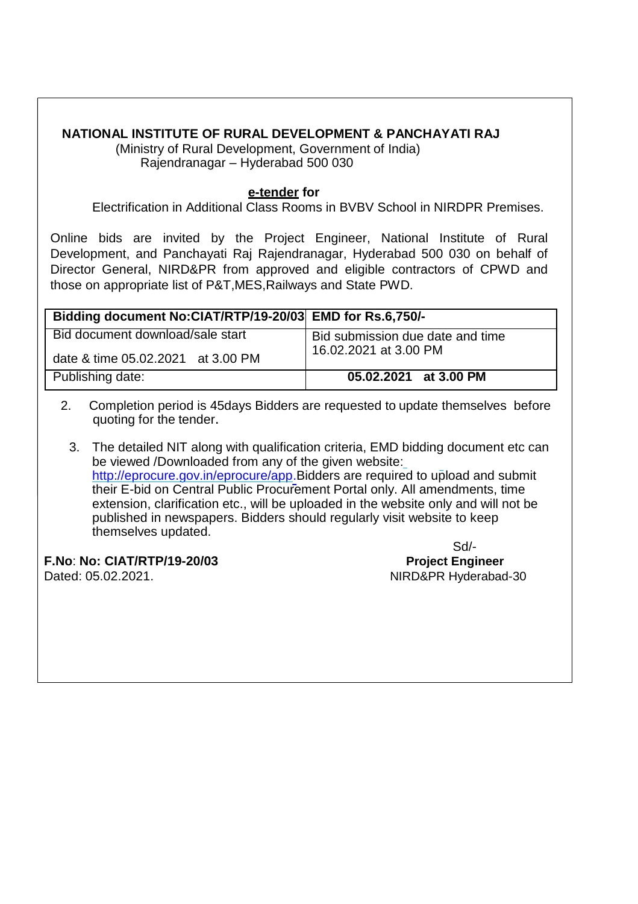## **NATIONAL INSTITUTE OF RURAL DEVELOPMENT & PANCHAYATI RAJ**

(Ministry of Rural Development, Government of India) Rajendranagar – Hyderabad 500 030

## **e-tender for**

Electrification in Additional Class Rooms in BVBV School in NIRDPR Premises.

Online bids are invited by the Project Engineer, National Institute of Rural Development, and Panchayati Raj Rajendranagar, Hyderabad 500 030 on behalf of Director General, NIRD&PR from approved and eligible contractors of CPWD and those on appropriate list of P&T,MES,Railways and State PWD.

| Bidding document No:CIAT/RTP/19-20/03 EMD for Rs.6,750/- |                                                           |
|----------------------------------------------------------|-----------------------------------------------------------|
| Bid document download/sale start                         | Bid submission due date and time<br>16.02.2021 at 3.00 PM |
| date & time 05.02.2021 at 3.00 PM                        |                                                           |
| Publishing date:                                         | 05.02.2021 at 3.00 PM                                     |

- 2. Completion period is 45days Bidders are requested to update themselves before quoting for the tender.
	- 3. The detailed NIT along with qualification criteria, EMD bidding document etc can be viewed /Downloaded from any of the given website: <http://eprocure.gov.in/eprocure/app.Bidders> are required to upload and submit their E-bid on Central Public Procurement Portal only. All amendments, time extension, clarification etc., will be uploaded in the website only and will not be published in newspapers. Bidders should regularly visit website to keep themselves updated.

**F.No**: **No: CIAT/RTP/19-20/03 Project Engineer** Dated: 05.02.2021. Dated: 05.02.2021.

Sd/-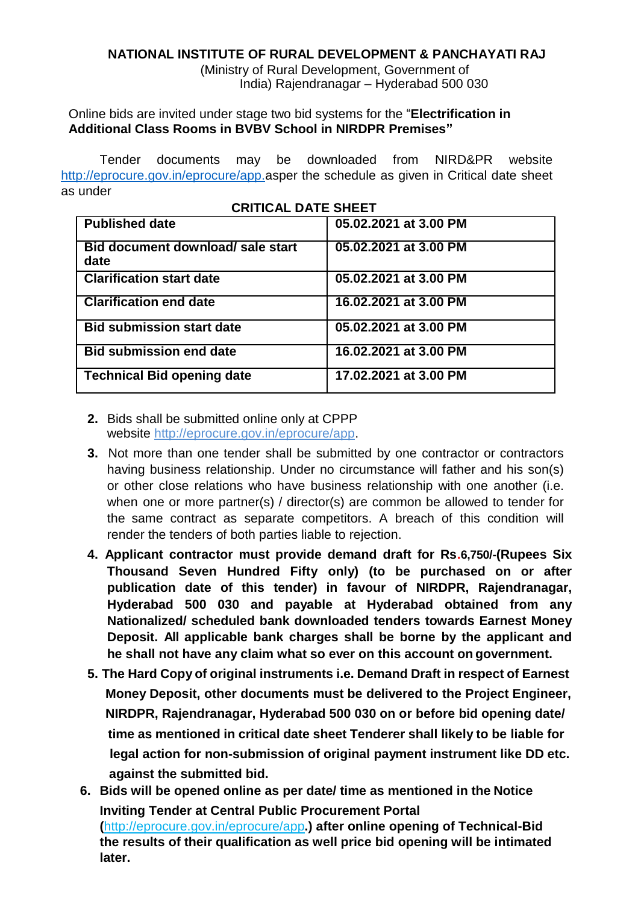## **NATIONAL INSTITUTE OF RURAL DEVELOPMENT & PANCHAYATI RAJ**

(Ministry of Rural Development, Government of India) Rajendranagar – Hyderabad 500 030

Online bids are invited under stage two bid systems for the "**Electrification in Additional Class Rooms in BVBV School in NIRDPR Premises"**

Tender documents may be downloaded from NIRD&PR website [http://eprocure.gov.in/eprocure/app.as](http://eprocure.gov.in/eprocure/app)per the schedule as given in Critical date sheet as under

**CRITICAL DATE SHEET**

| <u>URIIIUAL DATE SHEET</u>                |                       |
|-------------------------------------------|-----------------------|
| <b>Published date</b>                     | 05.02.2021 at 3.00 PM |
| Bid document download/ sale start<br>date | 05.02.2021 at 3.00 PM |
| <b>Clarification start date</b>           | 05.02.2021 at 3.00 PM |
| <b>Clarification end date</b>             | 16.02.2021 at 3.00 PM |
| <b>Bid submission start date</b>          | 05.02.2021 at 3.00 PM |
| <b>Bid submission end date</b>            | 16.02.2021 at 3.00 PM |
| <b>Technical Bid opening date</b>         | 17.02.2021 at 3.00 PM |

- **2.** Bids shall be submitted online only at CPPP website [http://eprocure.gov.in/eprocure/app.](http://eprocure.gov.in/eprocure/app)
- **3.** Not more than one tender shall be submitted by one contractor or contractors having business relationship. Under no circumstance will father and his son(s) or other close relations who have business relationship with one another (i.e. when one or more partner(s) / director(s) are common be allowed to tender for the same contract as separate competitors. A breach of this condition will render the tenders of both parties liable to rejection.
- **4. Applicant contractor must provide demand draft for Rs.6,750/-(Rupees Six Thousand Seven Hundred Fifty only) (to be purchased on or after publication date of this tender) in favour of NIRDPR, Rajendranagar, Hyderabad 500 030 and payable at Hyderabad obtained from any Nationalized/ scheduled bank downloaded tenders towards Earnest Money Deposit. All applicable bank charges shall be borne by the applicant and he shall not have any claim what so ever on this account on government.**
- **5. The Hard Copy of original instruments i.e. Demand Draft in respect of Earnest Money Deposit, other documents must be delivered to the Project Engineer, NIRDPR, Rajendranagar, Hyderabad 500 030 on or before bid opening date/ time as mentioned in critical date sheet Tenderer shall likely to be liable for legal action for non-submission of original payment instrument like DD etc. against the submitted bid.**
- **6. Bids will be opened online as per date/ time as mentioned in the Notice Inviting Tender at Central Public Procurement Portal (**<http://eprocure.gov.in/eprocure/app>**.) after online opening of Technical-Bid the results of their qualification as well price bid opening will be intimated later.**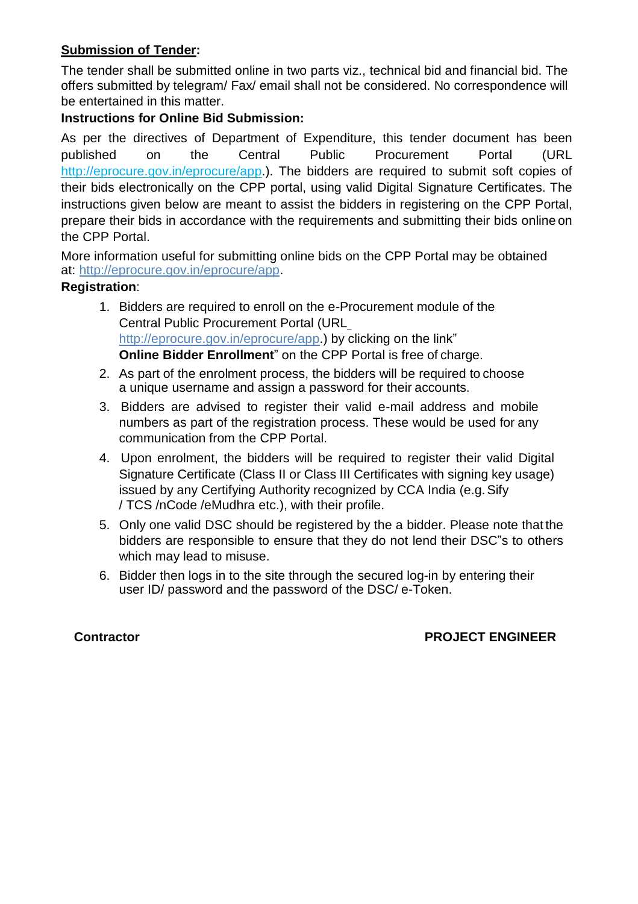## **Submission of Tender:**

The tender shall be submitted online in two parts viz., technical bid and financial bid. The offers submitted by telegram/ Fax/ email shall not be considered. No correspondence will be entertained in this matter.

## **Instructions for Online Bid Submission:**

As per the directives of Department of Expenditure, this tender document has been published on the Central Public Procurement Portal (URL [http://eprocure.gov.in/eprocure/app.](http://eprocure.gov.in/eprocure/app)). The bidders are required to submit soft copies of their bids electronically on the CPP portal, using valid Digital Signature Certificates. The instructions given below are meant to assist the bidders in registering on the CPP Portal, prepare their bids in accordance with the requirements and submitting their bids online on the CPP Portal.

More information useful for submitting online bids on the CPP Portal may be obtained at: [http://eprocure.gov.in/eprocure/app.](http://eprocure.gov.in/eprocure/app)

### **Registration**:

- 1. Bidders are required to enroll on the e-Procurement module of the Central Public Procurement Portal (URL [http://eprocure.gov.in/eprocure/app.](http://eprocure.gov.in/eprocure/app)) by clicking on the link" **Online Bidder Enrollment**" on the CPP Portal is free of charge.
- 2. As part of the enrolment process, the bidders will be required to choose a unique username and assign a password for their accounts.
- 3. Bidders are advised to register their valid e-mail address and mobile numbers as part of the registration process. These would be used for any communication from the CPP Portal.
- 4. Upon enrolment, the bidders will be required to register their valid Digital Signature Certificate (Class II or Class III Certificates with signing key usage) issued by any Certifying Authority recognized by CCA India (e.g.Sify / TCS /nCode /eMudhra etc.), with their profile.
- 5. Only one valid DSC should be registered by the a bidder. Please note that the bidders are responsible to ensure that they do not lend their DSC"s to others which may lead to misuse.
- 6. Bidder then logs in to the site through the secured log-in by entering their user ID/ password and the password of the DSC/ e-Token.

## **Contractor Contractor PROJECT ENGINEER**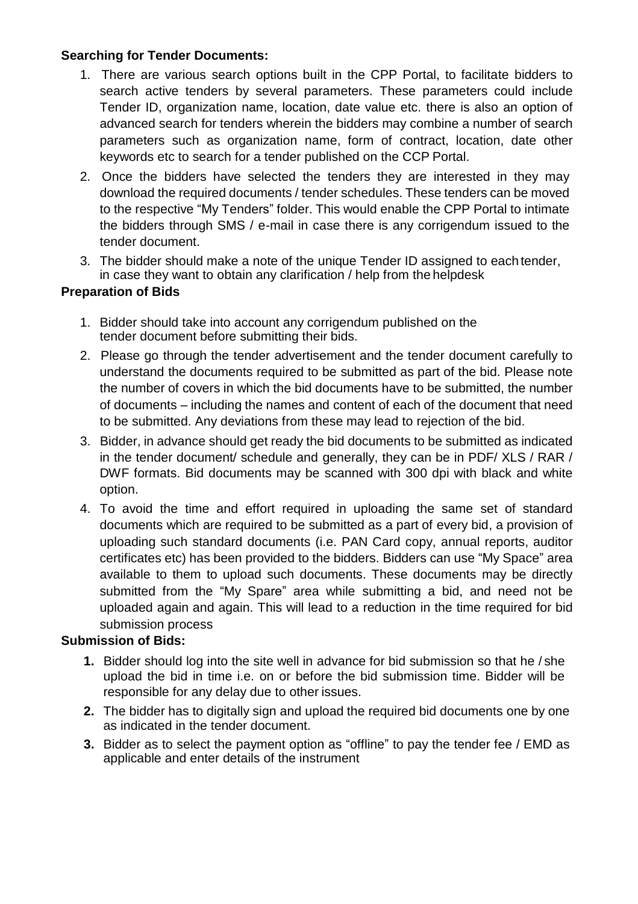## **Searching for Tender Documents:**

- 1. There are various search options built in the CPP Portal, to facilitate bidders to search active tenders by several parameters. These parameters could include Tender ID, organization name, location, date value etc. there is also an option of advanced search for tenders wherein the bidders may combine a number of search parameters such as organization name, form of contract, location, date other keywords etc to search for a tender published on the CCP Portal.
- 2. Once the bidders have selected the tenders they are interested in they may download the required documents / tender schedules. These tenders can be moved to the respective "My Tenders" folder. This would enable the CPP Portal to intimate the bidders through SMS / e-mail in case there is any corrigendum issued to the tender document.
- 3. The bidder should make a note of the unique Tender ID assigned to each tender, in case they want to obtain any clarification / help from the helpdesk

## **Preparation of Bids**

- 1. Bidder should take into account any corrigendum published on the tender document before submitting their bids.
- 2. Please go through the tender advertisement and the tender document carefully to understand the documents required to be submitted as part of the bid. Please note the number of covers in which the bid documents have to be submitted, the number of documents – including the names and content of each of the document that need to be submitted. Any deviations from these may lead to rejection of the bid.
- 3. Bidder, in advance should get ready the bid documents to be submitted as indicated in the tender document/ schedule and generally, they can be in PDF/ XLS / RAR / DWF formats. Bid documents may be scanned with 300 dpi with black and white option.
- 4. To avoid the time and effort required in uploading the same set of standard documents which are required to be submitted as a part of every bid, a provision of uploading such standard documents (i.e. PAN Card copy, annual reports, auditor certificates etc) has been provided to the bidders. Bidders can use "My Space" area available to them to upload such documents. These documents may be directly submitted from the "My Spare" area while submitting a bid, and need not be uploaded again and again. This will lead to a reduction in the time required for bid submission process

## **Submission of Bids:**

- **1.** Bidder should log into the site well in advance for bid submission so that he / she upload the bid in time i.e. on or before the bid submission time. Bidder will be responsible for any delay due to other issues.
- **2.** The bidder has to digitally sign and upload the required bid documents one by one as indicated in the tender document.
- **3.** Bidder as to select the payment option as "offline" to pay the tender fee / EMD as applicable and enter details of the instrument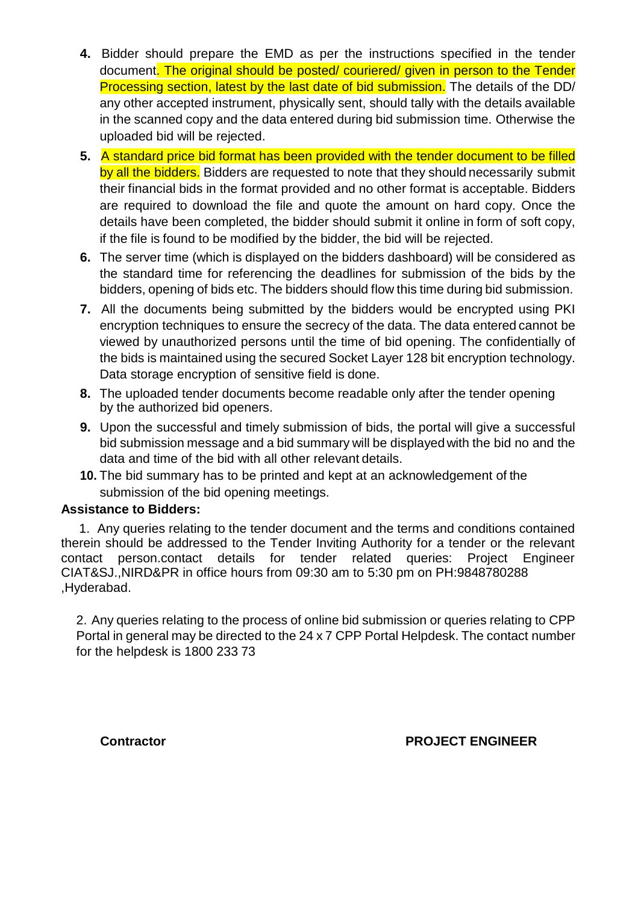- **4.** Bidder should prepare the EMD as per the instructions specified in the tender document. The original should be posted/ couriered/ given in person to the Tender Processing section, latest by the last date of bid submission. The details of the DD/ any other accepted instrument, physically sent, should tally with the details available in the scanned copy and the data entered during bid submission time. Otherwise the uploaded bid will be rejected.
- **5.** A standard price bid format has been provided with the tender document to be filled by all the bidders. Bidders are requested to note that they should necessarily submit their financial bids in the format provided and no other format is acceptable. Bidders are required to download the file and quote the amount on hard copy. Once the details have been completed, the bidder should submit it online in form of soft copy, if the file is found to be modified by the bidder, the bid will be rejected.
- **6.** The server time (which is displayed on the bidders dashboard) will be considered as the standard time for referencing the deadlines for submission of the bids by the bidders, opening of bids etc. The bidders should flow this time during bid submission.
- **7.** All the documents being submitted by the bidders would be encrypted using PKI encryption techniques to ensure the secrecy of the data. The data entered cannot be viewed by unauthorized persons until the time of bid opening. The confidentially of the bids is maintained using the secured Socket Layer 128 bit encryption technology. Data storage encryption of sensitive field is done.
- **8.** The uploaded tender documents become readable only after the tender opening by the authorized bid openers.
- **9.** Upon the successful and timely submission of bids, the portal will give a successful bid submission message and a bid summary will be displayed with the bid no and the data and time of the bid with all other relevant details.
- **10.** The bid summary has to be printed and kept at an acknowledgement of the submission of the bid opening meetings.

### **Assistance to Bidders:**

1. Any queries relating to the tender document and the terms and conditions contained therein should be addressed to the Tender Inviting Authority for a tender or the relevant contact person.contact details for tender related queries: Project Engineer CIAT&SJ.,NIRD&PR in office hours from 09:30 am to 5:30 pm on PH:9848780288 ,Hyderabad.

2. Any queries relating to the process of online bid submission or queries relating to CPP Portal in general may be directed to the 24 x 7 CPP Portal Helpdesk. The contact number for the helpdesk is 1800 233 73

 **Contractor PROJECT ENGINEER**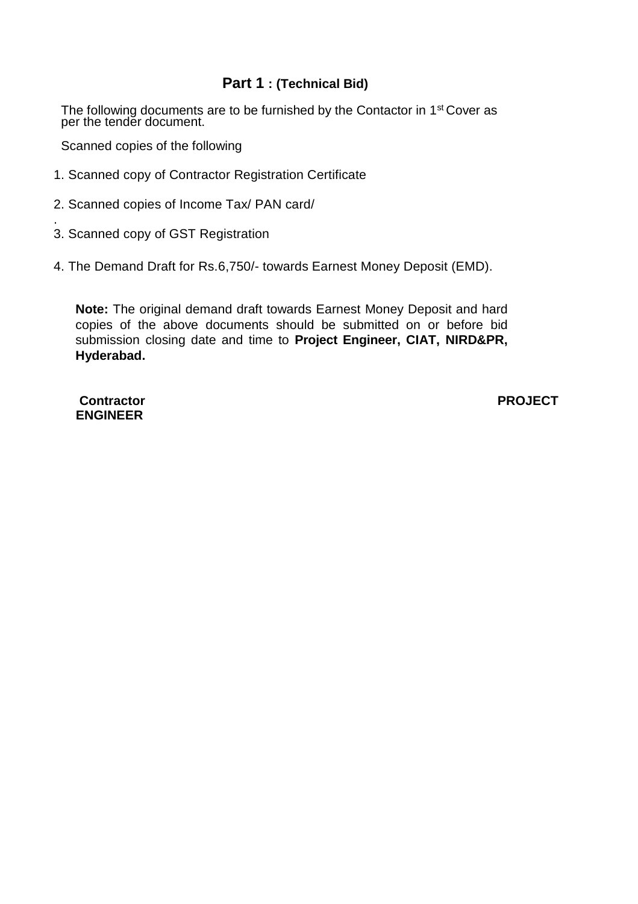## **Part 1 : (Technical Bid)**

The following documents are to be furnished by the Contactor in 1<sup>st</sup> Cover as per the tender document.

Scanned copies of the following

- 1. Scanned copy of Contractor Registration Certificate
- 2. Scanned copies of Income Tax/ PAN card/
- 3. Scanned copy of GST Registration
- 4. The Demand Draft for Rs.6,750/- towards Earnest Money Deposit (EMD).

**Note:** The original demand draft towards Earnest Money Deposit and hard copies of the above documents should be submitted on or before bid submission closing date and time to **Project Engineer, CIAT, NIRD&PR, Hyderabad.**

**Contractor PROJECT ENGINEER**

.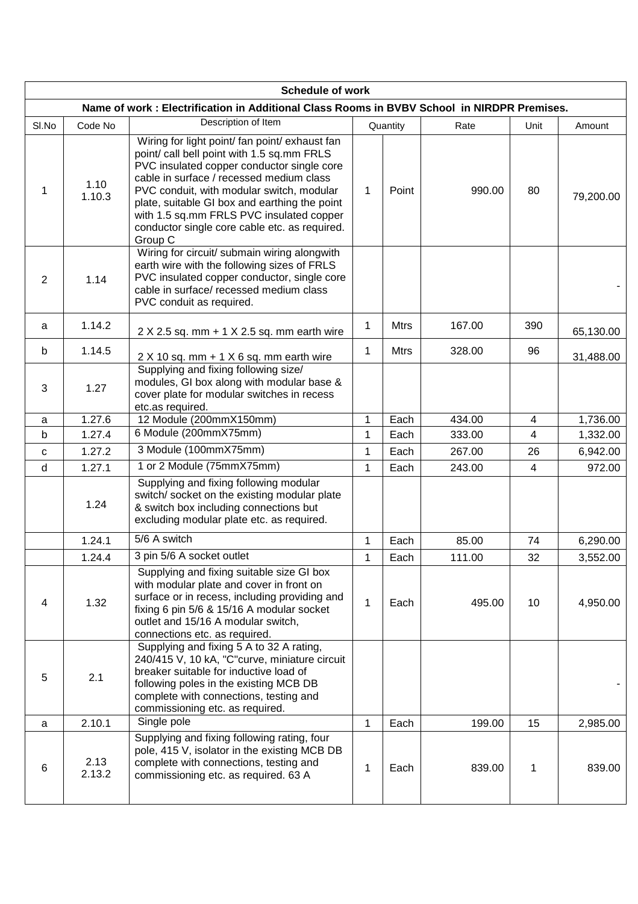| <b>Schedule of work</b> |                                                                                                                                                                                       |                                                                                                                                                                                                                                                                                                                                                                                              |              |             |        |                |           |
|-------------------------|---------------------------------------------------------------------------------------------------------------------------------------------------------------------------------------|----------------------------------------------------------------------------------------------------------------------------------------------------------------------------------------------------------------------------------------------------------------------------------------------------------------------------------------------------------------------------------------------|--------------|-------------|--------|----------------|-----------|
|                         |                                                                                                                                                                                       | Name of work: Electrification in Additional Class Rooms in BVBV School in NIRDPR Premises.                                                                                                                                                                                                                                                                                                   |              |             |        |                |           |
| SI.No                   | Code No                                                                                                                                                                               | Description of Item                                                                                                                                                                                                                                                                                                                                                                          |              | Quantity    | Rate   | Unit           | Amount    |
| $\mathbf{1}$            | 1.10<br>1.10.3                                                                                                                                                                        | Wiring for light point/ fan point/ exhaust fan<br>point/ call bell point with 1.5 sq.mm FRLS<br>PVC insulated copper conductor single core<br>cable in surface / recessed medium class<br>PVC conduit, with modular switch, modular<br>plate, suitable GI box and earthing the point<br>with 1.5 sq.mm FRLS PVC insulated copper<br>conductor single core cable etc. as required.<br>Group C | $\mathbf{1}$ | Point       | 990.00 | 80             | 79,200.00 |
| 2                       | 1.14                                                                                                                                                                                  | Wiring for circuit/ submain wiring alongwith<br>earth wire with the following sizes of FRLS<br>PVC insulated copper conductor, single core<br>cable in surface/ recessed medium class<br>PVC conduit as required.                                                                                                                                                                            |              |             |        |                |           |
| a                       | 1.14.2                                                                                                                                                                                | $2 \times 2.5$ sq. mm + 1 $\times$ 2.5 sq. mm earth wire                                                                                                                                                                                                                                                                                                                                     | $\mathbf{1}$ | <b>Mtrs</b> | 167.00 | 390            | 65,130.00 |
| b                       | 1.14.5                                                                                                                                                                                | $2 X 10 sq.$ mm + 1 $X 6 sq.$ mm earth wire                                                                                                                                                                                                                                                                                                                                                  | 1            | <b>Mtrs</b> | 328.00 | 96             | 31,488.00 |
| 3                       | 1.27                                                                                                                                                                                  | Supplying and fixing following size/<br>modules, GI box along with modular base &<br>cover plate for modular switches in recess<br>etc.as required.                                                                                                                                                                                                                                          |              |             |        |                |           |
| a                       | 1.27.6                                                                                                                                                                                | 12 Module (200mmX150mm)                                                                                                                                                                                                                                                                                                                                                                      | 1            | Each        | 434.00 | $\overline{4}$ | 1,736.00  |
| b                       | 1.27.4                                                                                                                                                                                | 6 Module (200mmX75mm)                                                                                                                                                                                                                                                                                                                                                                        | $\mathbf 1$  | Each        | 333.00 | $\overline{4}$ | 1,332.00  |
| C                       | 1.27.2                                                                                                                                                                                | 3 Module (100mmX75mm)                                                                                                                                                                                                                                                                                                                                                                        | 1            | Each        | 267.00 | 26             | 6,942.00  |
| d                       | 1.27.1                                                                                                                                                                                | 1 or 2 Module (75mmX75mm)                                                                                                                                                                                                                                                                                                                                                                    |              | Each        | 243.00 | $\overline{4}$ | 972.00    |
|                         | Supplying and fixing following modular<br>switch/ socket on the existing modular plate<br>1.24<br>& switch box including connections but<br>excluding modular plate etc. as required. |                                                                                                                                                                                                                                                                                                                                                                                              |              |             |        |                |           |
|                         | 1.24.1                                                                                                                                                                                | 5/6 A switch                                                                                                                                                                                                                                                                                                                                                                                 | $\mathbf 1$  | Each        | 85.00  | 74             | 6,290.00  |
|                         | 1.24.4                                                                                                                                                                                | 3 pin 5/6 A socket outlet                                                                                                                                                                                                                                                                                                                                                                    | 1            | Each        | 111.00 | $32\,$         | 3,552.00  |
| 4                       | 1.32                                                                                                                                                                                  | Supplying and fixing suitable size GI box<br>with modular plate and cover in front on<br>surface or in recess, including providing and<br>fixing 6 pin 5/6 & 15/16 A modular socket<br>outlet and 15/16 A modular switch,<br>connections etc. as required.                                                                                                                                   |              | Each        | 495.00 | 10             | 4,950.00  |
| 5                       | 2.1                                                                                                                                                                                   | Supplying and fixing 5 A to 32 A rating,<br>240/415 V, 10 kA, "C"curve, miniature circuit<br>breaker suitable for inductive load of<br>following poles in the existing MCB DB<br>complete with connections, testing and<br>commissioning etc. as required.                                                                                                                                   |              |             |        |                |           |
| a                       | 2.10.1                                                                                                                                                                                | Single pole                                                                                                                                                                                                                                                                                                                                                                                  | $\mathbf{1}$ | Each        | 199.00 | 15             | 2,985.00  |
| 6                       | 2.13<br>2.13.2                                                                                                                                                                        | Supplying and fixing following rating, four<br>pole, 415 V, isolator in the existing MCB DB<br>complete with connections, testing and<br>commissioning etc. as required. 63 A                                                                                                                                                                                                                | 1            | Each        | 839.00 | 1              | 839.00    |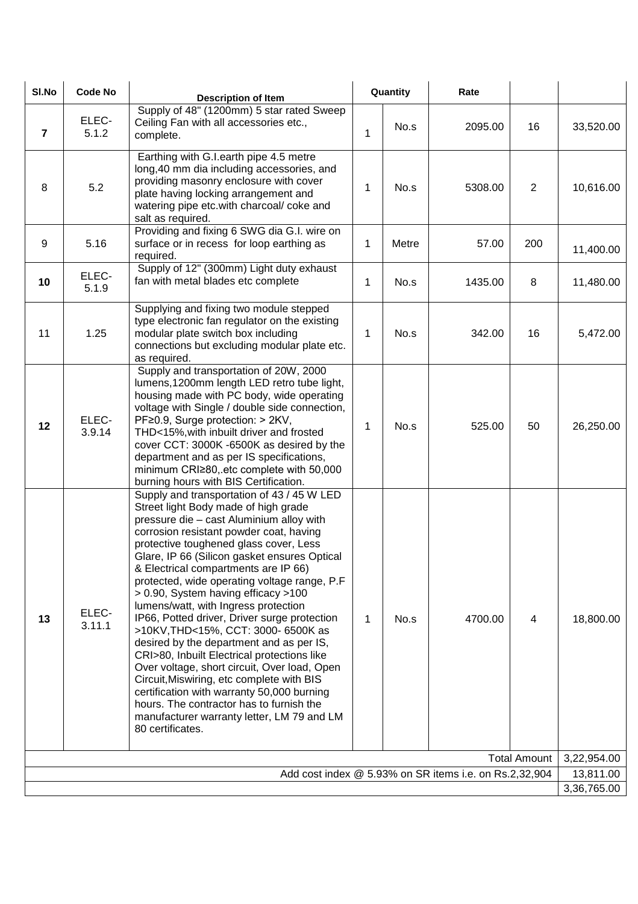| SI.No               | <b>Code No</b>  | <b>Description of Item</b>                                                                                                                                                                                                                                                                                                                                                                                                                                                                                                                                                                                                                                                                                                                                                                                                                                                            | Quantity     |       | Rate                                                   |                |             |
|---------------------|-----------------|---------------------------------------------------------------------------------------------------------------------------------------------------------------------------------------------------------------------------------------------------------------------------------------------------------------------------------------------------------------------------------------------------------------------------------------------------------------------------------------------------------------------------------------------------------------------------------------------------------------------------------------------------------------------------------------------------------------------------------------------------------------------------------------------------------------------------------------------------------------------------------------|--------------|-------|--------------------------------------------------------|----------------|-------------|
| $\overline{7}$      | ELEC-<br>5.1.2  | Supply of 48" (1200mm) 5 star rated Sweep<br>Ceiling Fan with all accessories etc.,<br>complete.                                                                                                                                                                                                                                                                                                                                                                                                                                                                                                                                                                                                                                                                                                                                                                                      | $\mathbf{1}$ | No.s  | 2095.00                                                | 16             | 33,520.00   |
| 8                   | 5.2             | Earthing with G.I.earth pipe 4.5 metre<br>long, 40 mm dia including accessories, and<br>providing masonry enclosure with cover<br>plate having locking arrangement and<br>watering pipe etc.with charcoal/ coke and<br>salt as required.                                                                                                                                                                                                                                                                                                                                                                                                                                                                                                                                                                                                                                              | $\mathbf 1$  | No.s  | 5308.00                                                | $\overline{2}$ | 10,616.00   |
| 9                   | 5.16            | Providing and fixing 6 SWG dia G.I. wire on<br>surface or in recess for loop earthing as<br>required.                                                                                                                                                                                                                                                                                                                                                                                                                                                                                                                                                                                                                                                                                                                                                                                 | 1            | Metre | 57.00                                                  | 200            | 11,400.00   |
| 10                  | ELEC-<br>5.1.9  | Supply of 12" (300mm) Light duty exhaust<br>fan with metal blades etc complete                                                                                                                                                                                                                                                                                                                                                                                                                                                                                                                                                                                                                                                                                                                                                                                                        | 1            | No.s  | 1435.00                                                | 8              | 11,480.00   |
| 11                  | 1.25            | Supplying and fixing two module stepped<br>type electronic fan regulator on the existing<br>modular plate switch box including<br>connections but excluding modular plate etc.<br>as required.                                                                                                                                                                                                                                                                                                                                                                                                                                                                                                                                                                                                                                                                                        | 1            | No.s  | 342.00                                                 | 16             | 5,472.00    |
| 12                  | ELEC-<br>3.9.14 | Supply and transportation of 20W, 2000<br>lumens, 1200mm length LED retro tube light,<br>housing made with PC body, wide operating<br>voltage with Single / double side connection,<br>PF≥0.9, Surge protection: > 2KV,<br>THD<15%, with inbuilt driver and frosted<br>cover CCT: 3000K -6500K as desired by the<br>department and as per IS specifications,<br>minimum CRI≥80, etc complete with 50,000<br>burning hours with BIS Certification.                                                                                                                                                                                                                                                                                                                                                                                                                                     | 1            | No.s  | 525.00                                                 | 50             | 26,250.00   |
| 13                  | ELEC-<br>3.11.1 | Supply and transportation of 43 / 45 W LED<br>Street light Body made of high grade<br>pressure die - cast Aluminium alloy with<br>corrosion resistant powder coat, having<br>protective toughened glass cover, Less<br>Glare, IP 66 (Silicon gasket ensures Optical<br>& Electrical compartments are IP 66)<br>protected, wide operating voltage range, P.F<br>> 0.90, System having efficacy >100<br>lumens/watt, with Ingress protection<br>IP66, Potted driver, Driver surge protection<br>>10KV, THD<15%, CCT: 3000- 6500K as<br>desired by the department and as per IS,<br>CRI>80, Inbuilt Electrical protections like<br>Over voltage, short circuit, Over load, Open<br>Circuit, Miswiring, etc complete with BIS<br>certification with warranty 50,000 burning<br>hours. The contractor has to furnish the<br>manufacturer warranty letter, LM 79 and LM<br>80 certificates. | $\mathbf{1}$ | No.s  | 4700.00                                                | $\overline{4}$ | 18,800.00   |
| <b>Total Amount</b> |                 |                                                                                                                                                                                                                                                                                                                                                                                                                                                                                                                                                                                                                                                                                                                                                                                                                                                                                       |              |       |                                                        | 3,22,954.00    |             |
|                     |                 |                                                                                                                                                                                                                                                                                                                                                                                                                                                                                                                                                                                                                                                                                                                                                                                                                                                                                       |              |       | Add cost index @ 5.93% on SR items i.e. on Rs.2,32,904 |                | 13,811.00   |
|                     |                 |                                                                                                                                                                                                                                                                                                                                                                                                                                                                                                                                                                                                                                                                                                                                                                                                                                                                                       |              |       |                                                        |                | 3,36,765.00 |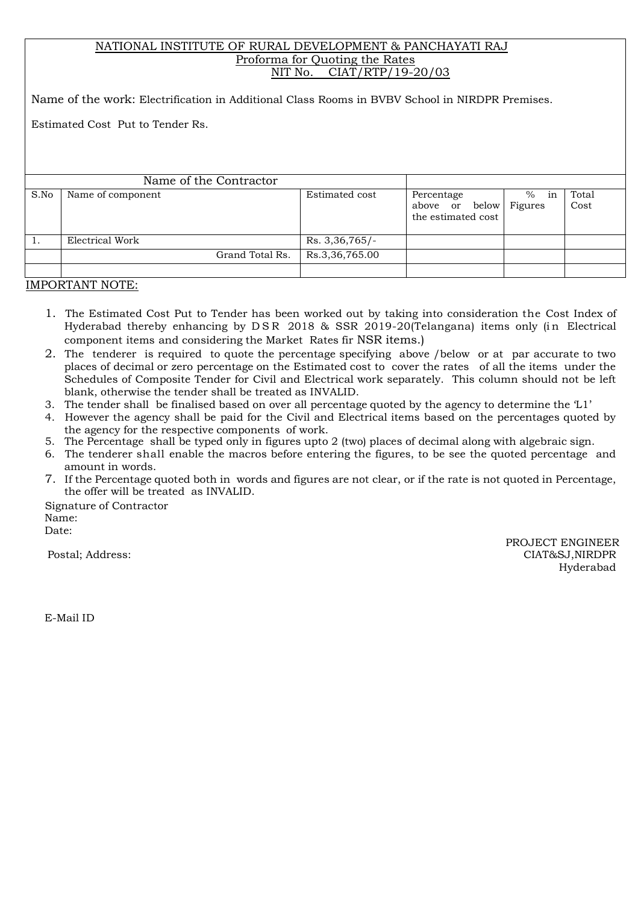#### NATIONAL INSTITUTE OF RURAL DEVELOPMENT & PANCHAYATI RAJ Proforma for Quoting the Rates NIT No. CIAT/RTP/19-20/03

Name of the work: Electrification in Additional Class Rooms in BVBV School in NIRDPR Premises.

Estimated Cost Put to Tender Rs.

|      | Name of the Contractor |                  |                                                    |                       |               |
|------|------------------------|------------------|----------------------------------------------------|-----------------------|---------------|
| S.No | Name of component      | Estimated cost   | Percentage<br>above or below<br>the estimated cost | $\%$<br>in<br>Figures | Total<br>Cost |
| 1.   | Electrical Work        | $Rs. 3,36,765/-$ |                                                    |                       |               |
|      | Grand Total Rs.        | Rs.3,36,765.00   |                                                    |                       |               |
|      |                        |                  |                                                    |                       |               |

IMPORTANT NOTE:

- 1. The Estimated Cost Put to Tender has been worked out by taking into consideration the Cost Index of Hyderabad thereby enhancing by DSR 2018 & SSR 2019-20(Telangana) items only (in Electrical component items and considering the Market Rates fir NSR items.)
- 2. The tenderer is required to quote the percentage specifying above /below or at par accurate to two places of decimal or zero percentage on the Estimated cost to cover the rates of all the items under the Schedules of Composite Tender for Civil and Electrical work separately. This column should not be left blank, otherwise the tender shall be treated as INVALID.
- 3. The tender shall be finalised based on over all percentage quoted by the agency to determine the 'L1'
- 4. However the agency shall be paid for the Civil and Electrical items based on the percentages quoted by the agency for the respective components of work.
- 5. The Percentage shall be typed only in figures upto 2 (two) places of decimal along with algebraic sign.
- 6. The tenderer shall enable the macros before entering the figures, to be see the quoted percentage and amount in words.
- 7. If the Percentage quoted both in words and figures are not clear, or if the rate is not quoted in Percentage, the offer will be treated as INVALID.

Signature of Contractor Name: Date:

 PROJECT ENGINEER Postal; Address: CIAT&SJ,NIRDPR Hyderabad

E-Mail ID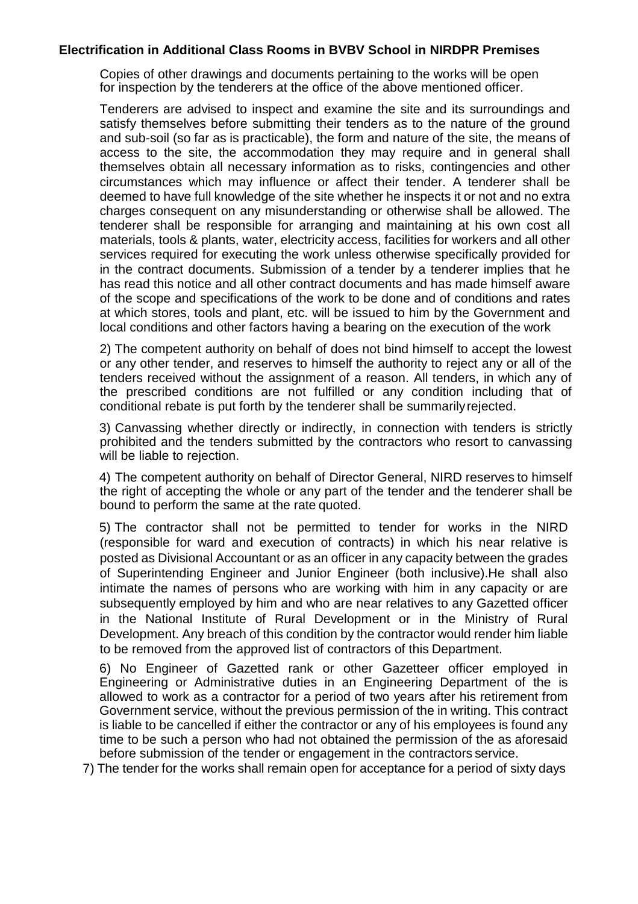#### **Electrification in Additional Class Rooms in BVBV School in NIRDPR Premises**

Copies of other drawings and documents pertaining to the works will be open for inspection by the tenderers at the office of the above mentioned officer.

Tenderers are advised to inspect and examine the site and its surroundings and satisfy themselves before submitting their tenders as to the nature of the ground and sub-soil (so far as is practicable), the form and nature of the site, the means of access to the site, the accommodation they may require and in general shall themselves obtain all necessary information as to risks, contingencies and other circumstances which may influence or affect their tender. A tenderer shall be deemed to have full knowledge of the site whether he inspects it or not and no extra charges consequent on any misunderstanding or otherwise shall be allowed. The tenderer shall be responsible for arranging and maintaining at his own cost all materials, tools & plants, water, electricity access, facilities for workers and all other services required for executing the work unless otherwise specifically provided for in the contract documents. Submission of a tender by a tenderer implies that he has read this notice and all other contract documents and has made himself aware of the scope and specifications of the work to be done and of conditions and rates at which stores, tools and plant, etc. will be issued to him by the Government and local conditions and other factors having a bearing on the execution of the work

2) The competent authority on behalf of does not bind himself to accept the lowest or any other tender, and reserves to himself the authority to reject any or all of the tenders received without the assignment of a reason. All tenders, in which any of the prescribed conditions are not fulfilled or any condition including that of conditional rebate is put forth by the tenderer shall be summarilyrejected.

3) Canvassing whether directly or indirectly, in connection with tenders is strictly prohibited and the tenders submitted by the contractors who resort to canvassing will be liable to rejection.

4) The competent authority on behalf of Director General, NIRD reserves to himself the right of accepting the whole or any part of the tender and the tenderer shall be bound to perform the same at the rate quoted.

5) The contractor shall not be permitted to tender for works in the NIRD (responsible for ward and execution of contracts) in which his near relative is posted as Divisional Accountant or as an officer in any capacity between the grades of Superintending Engineer and Junior Engineer (both inclusive).He shall also intimate the names of persons who are working with him in any capacity or are subsequently employed by him and who are near relatives to any Gazetted officer in the National Institute of Rural Development or in the Ministry of Rural Development. Any breach of this condition by the contractor would render him liable to be removed from the approved list of contractors of this Department.

6) No Engineer of Gazetted rank or other Gazetteer officer employed in Engineering or Administrative duties in an Engineering Department of the is allowed to work as a contractor for a period of two years after his retirement from Government service, without the previous permission of the in writing. This contract is liable to be cancelled if either the contractor or any of his employees is found any time to be such a person who had not obtained the permission of the as aforesaid before submission of the tender or engagement in the contractors service.

7) The tender for the works shall remain open for acceptance for a period of sixty days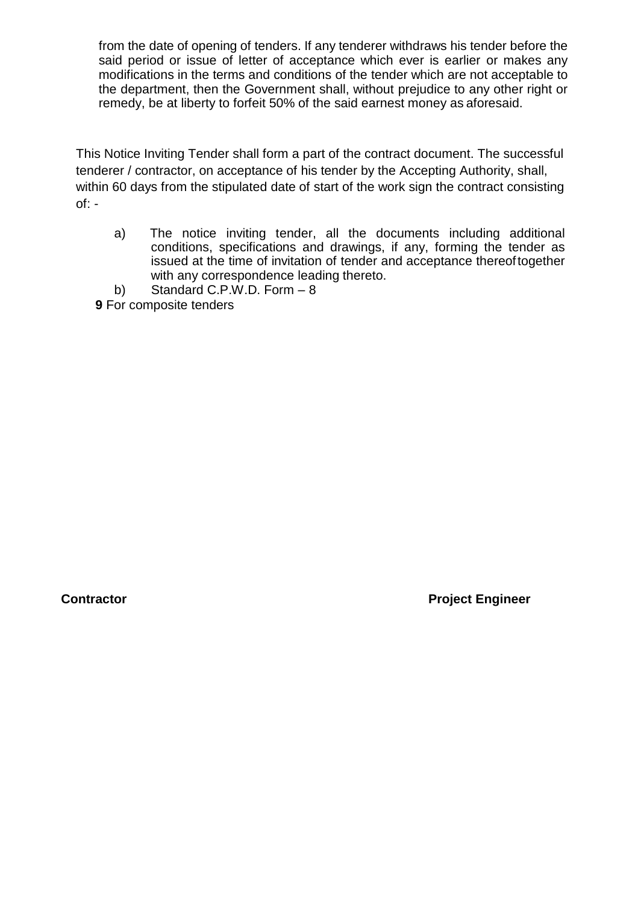from the date of opening of tenders. If any tenderer withdraws his tender before the said period or issue of letter of acceptance which ever is earlier or makes any modifications in the terms and conditions of the tender which are not acceptable to the department, then the Government shall, without prejudice to any other right or remedy, be at liberty to forfeit 50% of the said earnest money as aforesaid.

This Notice Inviting Tender shall form a part of the contract document. The successful tenderer / contractor, on acceptance of his tender by the Accepting Authority, shall, within 60 days from the stipulated date of start of the work sign the contract consisting of: -

- a) The notice inviting tender, all the documents including additional conditions, specifications and drawings, if any, forming the tender as issued at the time of invitation of tender and acceptance thereoftogether with any correspondence leading thereto.
- b) Standard C.P.W.D. Form 8
- **9** For composite tenders

**Contractor Contractor Contractor Contractor Contractor Contractor Contractor Contractor Contractor Contractor**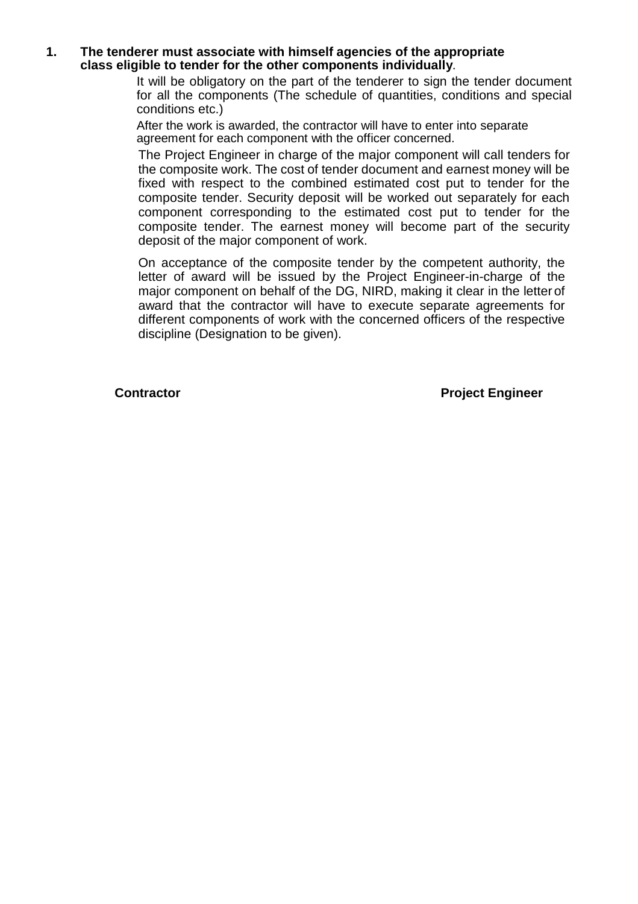#### **1. The tenderer must associate with himself agencies of the appropriate class eligible to tender for the other components individually**.

It will be obligatory on the part of the tenderer to sign the tender document for all the components (The schedule of quantities, conditions and special conditions etc.)

After the work is awarded, the contractor will have to enter into separate agreement for each component with the officer concerned.

The Project Engineer in charge of the major component will call tenders for the composite work. The cost of tender document and earnest money will be fixed with respect to the combined estimated cost put to tender for the composite tender. Security deposit will be worked out separately for each component corresponding to the estimated cost put to tender for the composite tender. The earnest money will become part of the security deposit of the major component of work.

On acceptance of the composite tender by the competent authority, the letter of award will be issued by the Project Engineer-in-charge of the major component on behalf of the DG, NIRD, making it clear in the letter of award that the contractor will have to execute separate agreements for different components of work with the concerned officers of the respective discipline (Designation to be given).

**Contractor Contractor Project Engineer**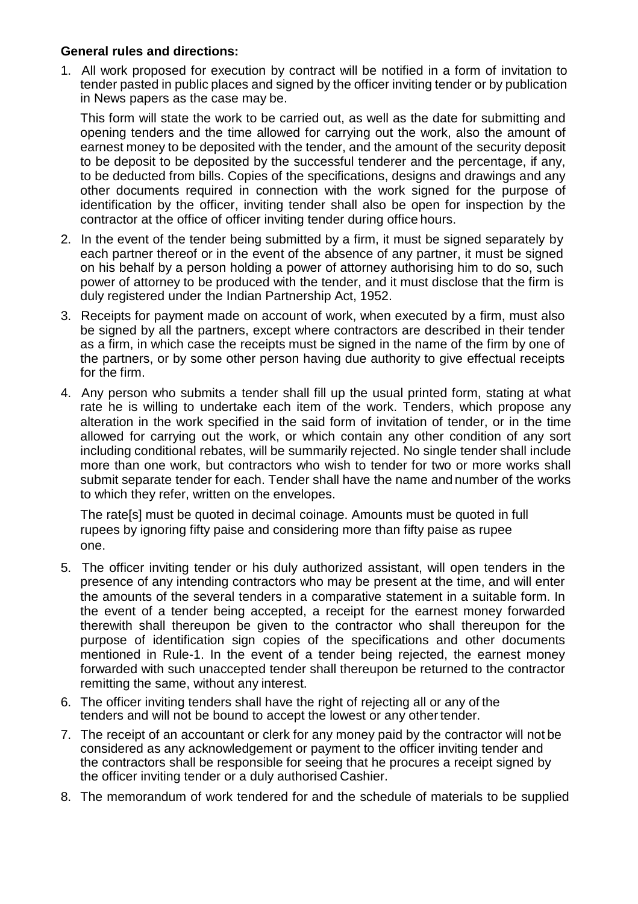### **General rules and directions:**

1. All work proposed for execution by contract will be notified in a form of invitation to tender pasted in public places and signed by the officer inviting tender or by publication in News papers as the case may be.

This form will state the work to be carried out, as well as the date for submitting and opening tenders and the time allowed for carrying out the work, also the amount of earnest money to be deposited with the tender, and the amount of the security deposit to be deposit to be deposited by the successful tenderer and the percentage, if any, to be deducted from bills. Copies of the specifications, designs and drawings and any other documents required in connection with the work signed for the purpose of identification by the officer, inviting tender shall also be open for inspection by the contractor at the office of officer inviting tender during office hours.

- 2. In the event of the tender being submitted by a firm, it must be signed separately by each partner thereof or in the event of the absence of any partner, it must be signed on his behalf by a person holding a power of attorney authorising him to do so, such power of attorney to be produced with the tender, and it must disclose that the firm is duly registered under the Indian Partnership Act, 1952.
- 3. Receipts for payment made on account of work, when executed by a firm, must also be signed by all the partners, except where contractors are described in their tender as a firm, in which case the receipts must be signed in the name of the firm by one of the partners, or by some other person having due authority to give effectual receipts for the firm.
- 4. Any person who submits a tender shall fill up the usual printed form, stating at what rate he is willing to undertake each item of the work. Tenders, which propose any alteration in the work specified in the said form of invitation of tender, or in the time allowed for carrying out the work, or which contain any other condition of any sort including conditional rebates, will be summarily rejected. No single tender shall include more than one work, but contractors who wish to tender for two or more works shall submit separate tender for each. Tender shall have the name and number of the works to which they refer, written on the envelopes.

The rate[s] must be quoted in decimal coinage. Amounts must be quoted in full rupees by ignoring fifty paise and considering more than fifty paise as rupee one.

- 5. The officer inviting tender or his duly authorized assistant, will open tenders in the presence of any intending contractors who may be present at the time, and will enter the amounts of the several tenders in a comparative statement in a suitable form. In the event of a tender being accepted, a receipt for the earnest money forwarded therewith shall thereupon be given to the contractor who shall thereupon for the purpose of identification sign copies of the specifications and other documents mentioned in Rule-1. In the event of a tender being rejected, the earnest money forwarded with such unaccepted tender shall thereupon be returned to the contractor remitting the same, without any interest.
- 6. The officer inviting tenders shall have the right of rejecting all or any of the tenders and will not be bound to accept the lowest or any othertender.
- 7. The receipt of an accountant or clerk for any money paid by the contractor will not be considered as any acknowledgement or payment to the officer inviting tender and the contractors shall be responsible for seeing that he procures a receipt signed by the officer inviting tender or a duly authorised Cashier.
- 8. The memorandum of work tendered for and the schedule of materials to be supplied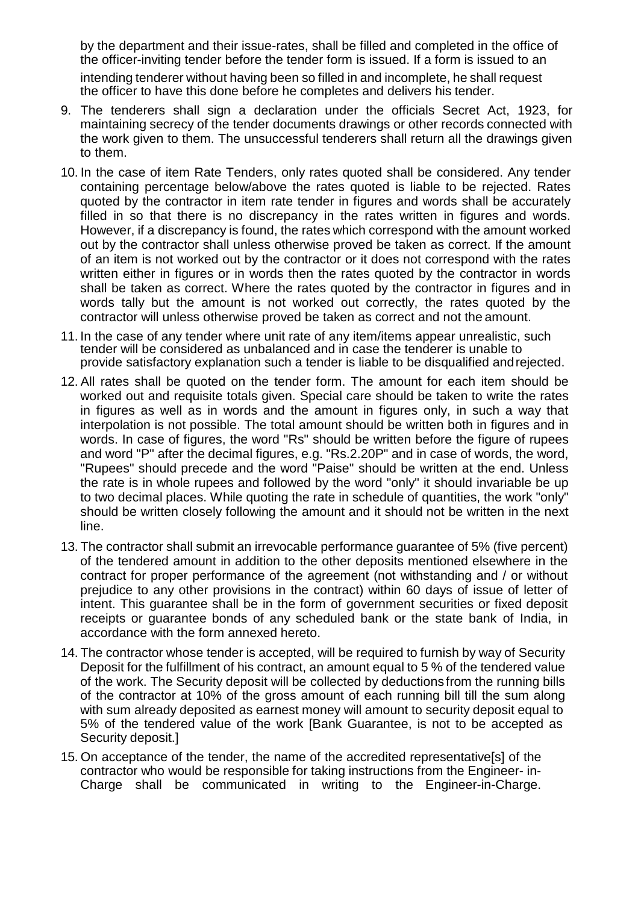by the department and their issue-rates, shall be filled and completed in the office of the officer-inviting tender before the tender form is issued. If a form is issued to an intending tenderer without having been so filled in and incomplete, he shall request the officer to have this done before he completes and delivers his tender.

- 9. The tenderers shall sign a declaration under the officials Secret Act, 1923, for maintaining secrecy of the tender documents drawings or other records connected with the work given to them. The unsuccessful tenderers shall return all the drawings given to them.
- 10. In the case of item Rate Tenders, only rates quoted shall be considered. Any tender containing percentage below/above the rates quoted is liable to be rejected. Rates quoted by the contractor in item rate tender in figures and words shall be accurately filled in so that there is no discrepancy in the rates written in figures and words. However, if a discrepancy is found, the rates which correspond with the amount worked out by the contractor shall unless otherwise proved be taken as correct. If the amount of an item is not worked out by the contractor or it does not correspond with the rates written either in figures or in words then the rates quoted by the contractor in words shall be taken as correct. Where the rates quoted by the contractor in figures and in words tally but the amount is not worked out correctly, the rates quoted by the contractor will unless otherwise proved be taken as correct and not the amount.
- 11. In the case of any tender where unit rate of any item/items appear unrealistic, such tender will be considered as unbalanced and in case the tenderer is unable to provide satisfactory explanation such a tender is liable to be disqualified andrejected.
- 12. All rates shall be quoted on the tender form. The amount for each item should be worked out and requisite totals given. Special care should be taken to write the rates in figures as well as in words and the amount in figures only, in such a way that interpolation is not possible. The total amount should be written both in figures and in words. In case of figures, the word "Rs" should be written before the figure of rupees and word "P" after the decimal figures, e.g. "Rs.2.20P" and in case of words, the word, "Rupees" should precede and the word "Paise" should be written at the end. Unless the rate is in whole rupees and followed by the word "only" it should invariable be up to two decimal places. While quoting the rate in schedule of quantities, the work "only" should be written closely following the amount and it should not be written in the next line.
- 13. The contractor shall submit an irrevocable performance guarantee of 5% (five percent) of the tendered amount in addition to the other deposits mentioned elsewhere in the contract for proper performance of the agreement (not withstanding and / or without prejudice to any other provisions in the contract) within 60 days of issue of letter of intent. This guarantee shall be in the form of government securities or fixed deposit receipts or guarantee bonds of any scheduled bank or the state bank of India, in accordance with the form annexed hereto.
- 14. The contractor whose tender is accepted, will be required to furnish by way of Security Deposit for the fulfillment of his contract, an amount equal to 5 % of the tendered value of the work. The Security deposit will be collected by deductions from the running bills of the contractor at 10% of the gross amount of each running bill till the sum along with sum already deposited as earnest money will amount to security deposit equal to 5% of the tendered value of the work [Bank Guarantee, is not to be accepted as Security deposit.]
- 15. On acceptance of the tender, the name of the accredited representative[s] of the contractor who would be responsible for taking instructions from the Engineer- in-Charge shall be communicated in writing to the Engineer-in-Charge.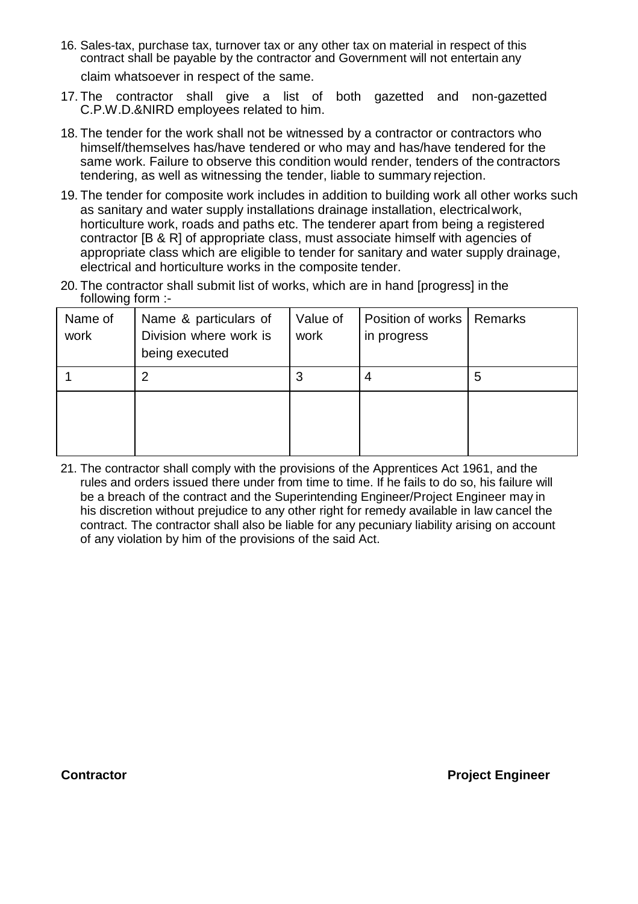- 16. Sales-tax, purchase tax, turnover tax or any other tax on material in respect of this contract shall be payable by the contractor and Government will not entertain any claim whatsoever in respect of the same.
- 17. The contractor shall give a list of both gazetted and non-gazetted C.P.W.D.&NIRD employees related to him.
- 18. The tender for the work shall not be witnessed by a contractor or contractors who himself/themselves has/have tendered or who may and has/have tendered for the same work. Failure to observe this condition would render, tenders of the contractors tendering, as well as witnessing the tender, liable to summary rejection.
- 19. The tender for composite work includes in addition to building work all other works such as sanitary and water supply installations drainage installation, electricalwork, horticulture work, roads and paths etc. The tenderer apart from being a registered contractor [B & R] of appropriate class, must associate himself with agencies of appropriate class which are eligible to tender for sanitary and water supply drainage, electrical and horticulture works in the composite tender.
- 20. The contractor shall submit list of works, which are in hand [progress] in the following form :-

| Name of<br>work | Name & particulars of<br>Division where work is<br>being executed | Value of<br>work | Position of works   Remarks<br>in progress |   |
|-----------------|-------------------------------------------------------------------|------------------|--------------------------------------------|---|
|                 | 2                                                                 | 3                | 4                                          | 5 |
|                 |                                                                   |                  |                                            |   |

21. The contractor shall comply with the provisions of the Apprentices Act 1961, and the rules and orders issued there under from time to time. If he fails to do so, his failure will be a breach of the contract and the Superintending Engineer/Project Engineer may in his discretion without prejudice to any other right for remedy available in law cancel the contract. The contractor shall also be liable for any pecuniary liability arising on account of any violation by him of the provisions of the said Act.

**Contractor Project Engineer**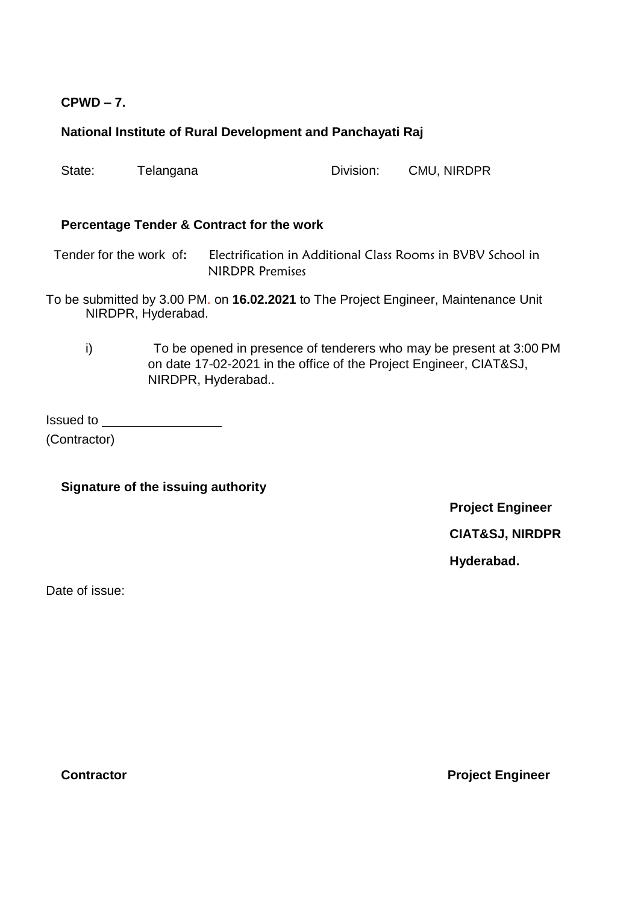## **CPWD – 7.**

## **National Institute of Rural Development and Panchayati Raj**

State: Telangana Division: CMU, NIRDPR

#### **Percentage Tender & Contract for the work**

Tender for the work of**:** Electrification in Additional Class Rooms in BVBV School in NIRDPR Premises

- To be submitted by 3.00 PM. on **16.02.2021** to The Project Engineer, Maintenance Unit NIRDPR, Hyderabad.
	- i) To be opened in presence of tenderers who may be present at 3:00 PM on date 17-02-2021 in the office of the Project Engineer, CIAT&SJ, NIRDPR, Hyderabad..

Issued to (Contractor)

**Signature of the issuing authority**

**Project Engineer CIAT&SJ, NIRDPR** 

**Hyderabad.**

Date of issue:

**Contractor Project Engineer**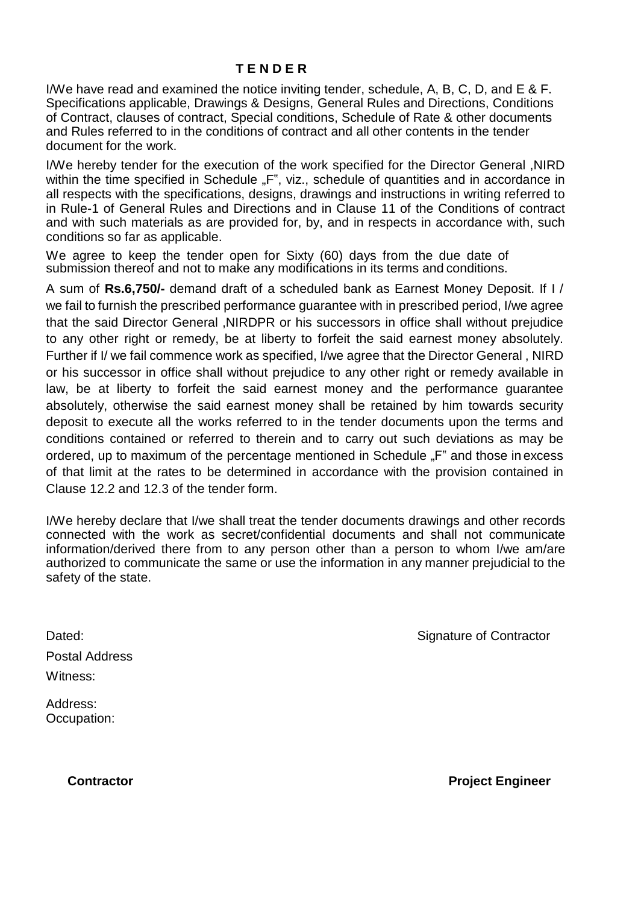I/We have read and examined the notice inviting tender, schedule, A, B, C, D, and E & F. Specifications applicable, Drawings & Designs, General Rules and Directions, Conditions of Contract, clauses of contract, Special conditions, Schedule of Rate & other documents and Rules referred to in the conditions of contract and all other contents in the tender document for the work.

I/We hereby tender for the execution of the work specified for the Director General ,NIRD within the time specified in Schedule "F", viz., schedule of quantities and in accordance in all respects with the specifications, designs, drawings and instructions in writing referred to in Rule-1 of General Rules and Directions and in Clause 11 of the Conditions of contract and with such materials as are provided for, by, and in respects in accordance with, such conditions so far as applicable.

We agree to keep the tender open for Sixty (60) days from the due date of submission thereof and not to make any modifications in its terms and conditions.

A sum of **Rs.6,750/-** demand draft of a scheduled bank as Earnest Money Deposit. If I / we fail to furnish the prescribed performance guarantee with in prescribed period, I/we agree that the said Director General ,NIRDPR or his successors in office shall without prejudice to any other right or remedy, be at liberty to forfeit the said earnest money absolutely. Further if I/ we fail commence work as specified, I/we agree that the Director General , NIRD or his successor in office shall without prejudice to any other right or remedy available in law, be at liberty to forfeit the said earnest money and the performance guarantee absolutely, otherwise the said earnest money shall be retained by him towards security deposit to execute all the works referred to in the tender documents upon the terms and conditions contained or referred to therein and to carry out such deviations as may be ordered, up to maximum of the percentage mentioned in Schedule "F" and those in excess of that limit at the rates to be determined in accordance with the provision contained in Clause 12.2 and 12.3 of the tender form.

I/We hereby declare that I/we shall treat the tender documents drawings and other records connected with the work as secret/confidential documents and shall not communicate information/derived there from to any person other than a person to whom I/we am/are authorized to communicate the same or use the information in any manner prejudicial to the safety of the state.

Postal Address

Witness:

Dated: Case of Contractor Contractor Contractor Contractor Contractor Contractor

Address: Occupation:

**Contractor Contractor Project Engineer**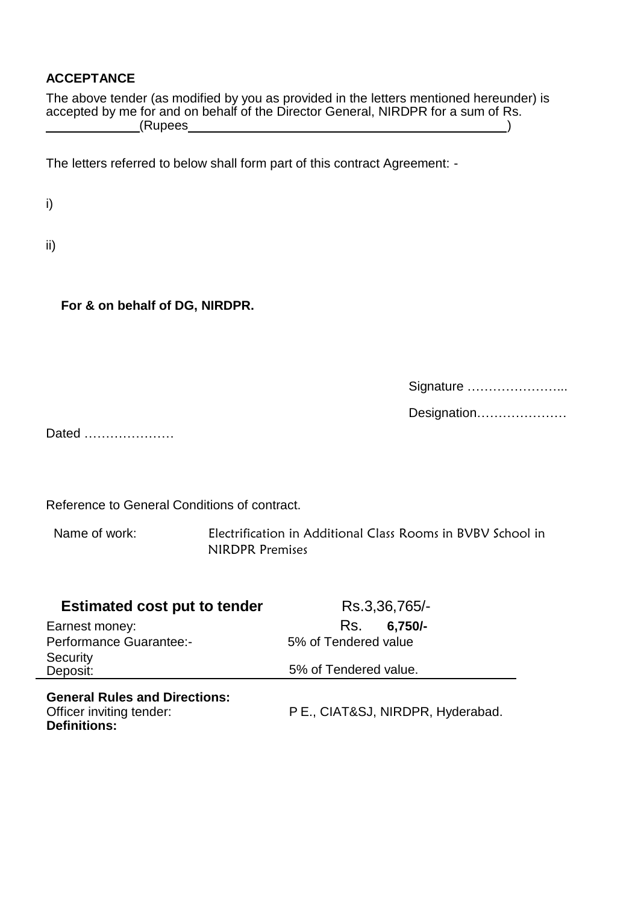## **ACCEPTANCE**

The above tender (as modified by you as provided in the letters mentioned hereunder) is accepted by me for and on behalf of the Director General, NIRDPR for a sum of Rs. (Rupees )

The letters referred to below shall form part of this contract Agreement: -

i)

ii)

**For & on behalf of DG, NIRDPR.**

Signature …………………...

Designation…………………

Dated …………………

Reference to General Conditions of contract.

Name of work: Electrification in Additional Class Rooms in BVBV School in NIRDPR Premises

| <b>Estimated cost put to tender</b>                                                     | Rs.3,36,765/-                     |
|-----------------------------------------------------------------------------------------|-----------------------------------|
| Earnest money:                                                                          | $6,750/-$<br>Rs.                  |
| <b>Performance Guarantee:-</b>                                                          | 5% of Tendered value              |
| Security<br>Deposit:                                                                    | 5% of Tendered value.             |
| <b>General Rules and Directions:</b><br>Officer inviting tender:<br><b>Definitions:</b> | P E., CIAT&SJ, NIRDPR, Hyderabad. |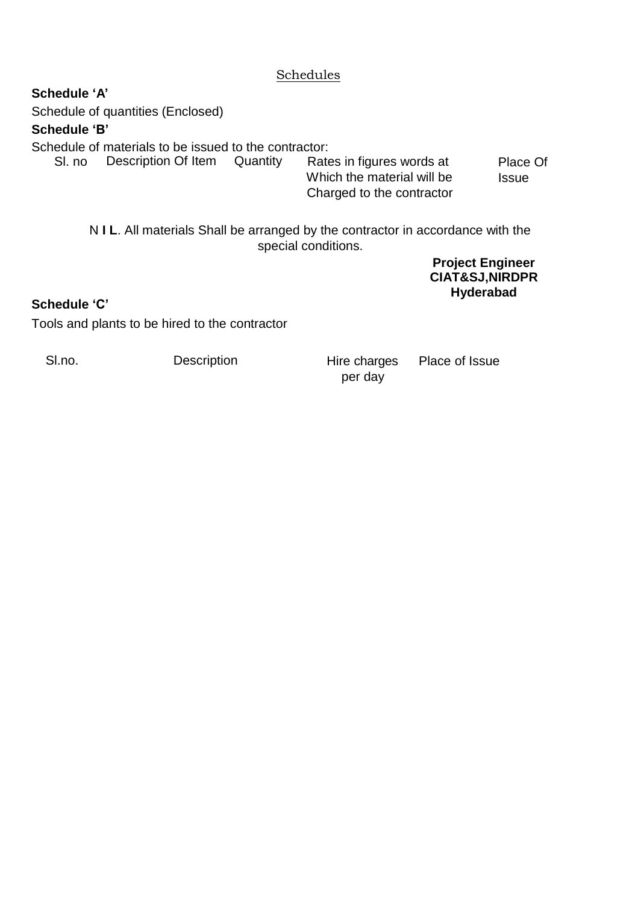## **Schedules**

**Schedule 'A'** Schedule of quantities (Enclosed) **Schedule 'B'** Schedule of materials to be issued to the contractor:<br>SI. no Description Of Item Quantity Rates in figures words at SI. no Description Of Item Quantity Which the material will be Charged to the contractor Place Of **Issue** N **I L**. All materials Shall be arranged by the contractor in accordance with the special conditions.

> **Project Engineer CIAT&SJ,NIRDPR Hyderabad**

## **Schedule 'C'**

Tools and plants to be hired to the contractor

SI.no. **Description** Hire charges per day

Place of Issue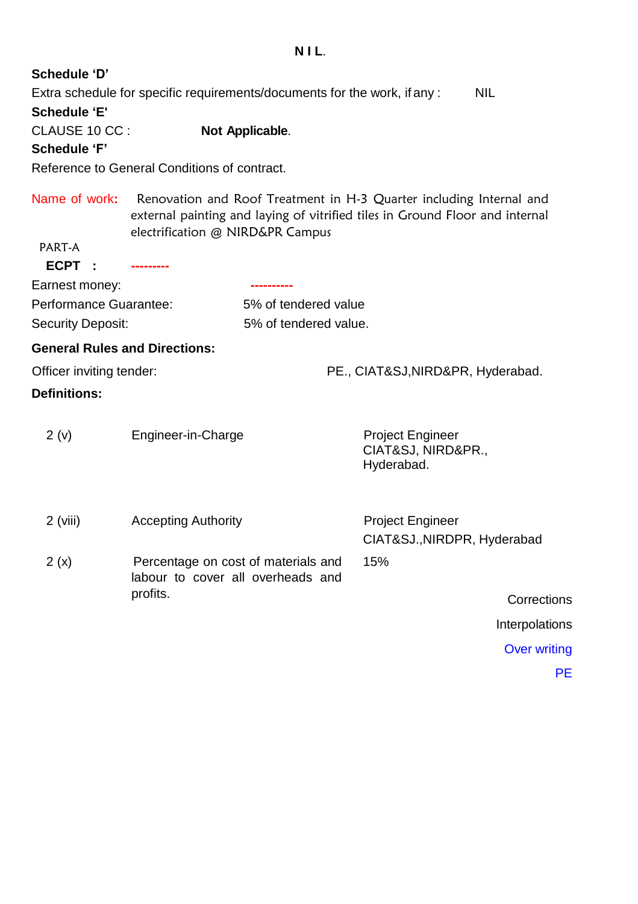#### **N I L**.

## **Schedule 'D'**

Extra schedule for specific requirements/documents for the work, if any : NIL **Schedule 'E'** CLAUSE 10 CC : **Not Applicable**.

## **Schedule 'F'**

Reference to General Conditions of contract.

Name of work**:** Renovation and Roof Treatment in H-3 Quarter including Internal and external painting and laying of vitrified tiles in Ground Floor and internal electrification @ NIRD&PR Campus

## PART-A

**ECPT :** 

| Earnest money:         |                       |
|------------------------|-----------------------|
| Performance Guarantee: | 5% of tendered value  |
| Security Deposit:      | 5% of tendered value. |

## **General Rules and Directions:**

Officer inviting tender: PE., CIAT&SJ,NIRD&PR, Hyderabad.

CIAT&SJ.,NIRDPR, Hyderabad

## **Definitions:**

| 2(v)<br>Engineer-in-Charge | <b>Project Engineer</b><br>CIAT&SJ, NIRD&PR.,<br>Hyderabad. |
|----------------------------|-------------------------------------------------------------|
|----------------------------|-------------------------------------------------------------|

- 2 (viii) **Accepting Authority Project Engineer**
- 2 (x) Percentage on cost of materials and labour to cover all overheads and profits. 15%

**Corrections** 

Interpolations

Over writing

PE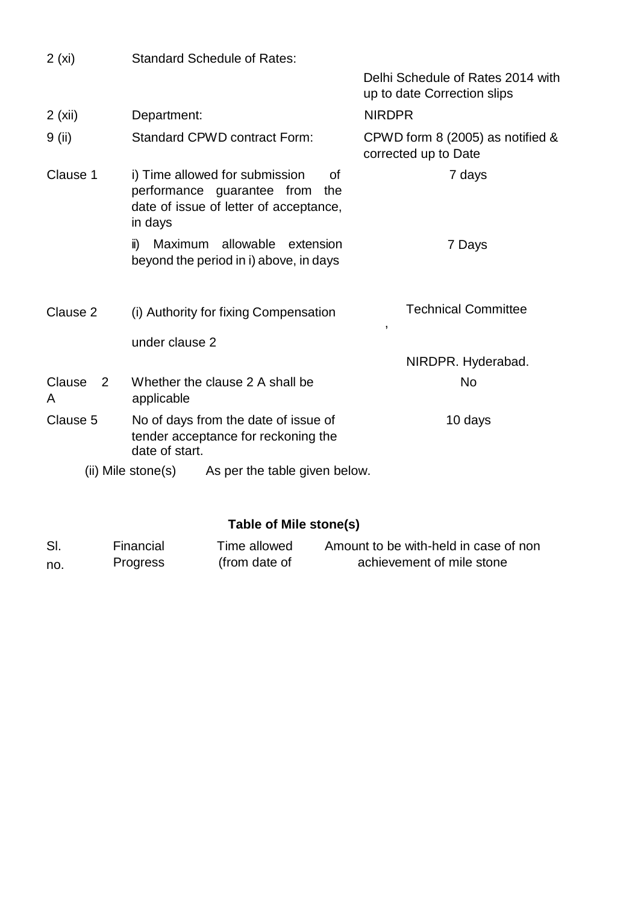| 2(xi)                         |                     | <b>Standard Schedule of Rates:</b>                                                                                  |                                                                  |
|-------------------------------|---------------------|---------------------------------------------------------------------------------------------------------------------|------------------------------------------------------------------|
|                               |                     |                                                                                                                     | Delhi Schedule of Rates 2014 with<br>up to date Correction slips |
| 2(xii)                        | Department:         |                                                                                                                     | <b>NIRDPR</b>                                                    |
| 9 (ii)                        |                     | <b>Standard CPWD contract Form:</b>                                                                                 | CPWD form 8 (2005) as notified &<br>corrected up to Date         |
| Clause 1                      | in days             | i) Time allowed for submission<br>Οf<br>performance guarantee from<br>the<br>date of issue of letter of acceptance, | 7 days                                                           |
|                               | $\ddot{\mathbf{I}}$ | Maximum allowable extension<br>beyond the period in i) above, in days                                               | 7 Days                                                           |
| Clause 2                      |                     | (i) Authority for fixing Compensation                                                                               | <b>Technical Committee</b><br>$\,$                               |
|                               | under clause 2      |                                                                                                                     |                                                                  |
|                               |                     |                                                                                                                     | NIRDPR. Hyderabad.                                               |
| Clause<br>$\overline{2}$<br>A | applicable          | Whether the clause 2 A shall be                                                                                     | <b>No</b>                                                        |
| Clause 5                      | date of start.      | No of days from the date of issue of<br>tender acceptance for reckoning the                                         | 10 days                                                          |
|                               | (ii) Mile stone(s)  | As per the table given below.                                                                                       |                                                                  |

# **Table of Mile stone(s)**

| SI. | Financial | Time allowed  | Amount to be with-held in case of non |
|-----|-----------|---------------|---------------------------------------|
| no. | Progress  | (from date of | achievement of mile stone             |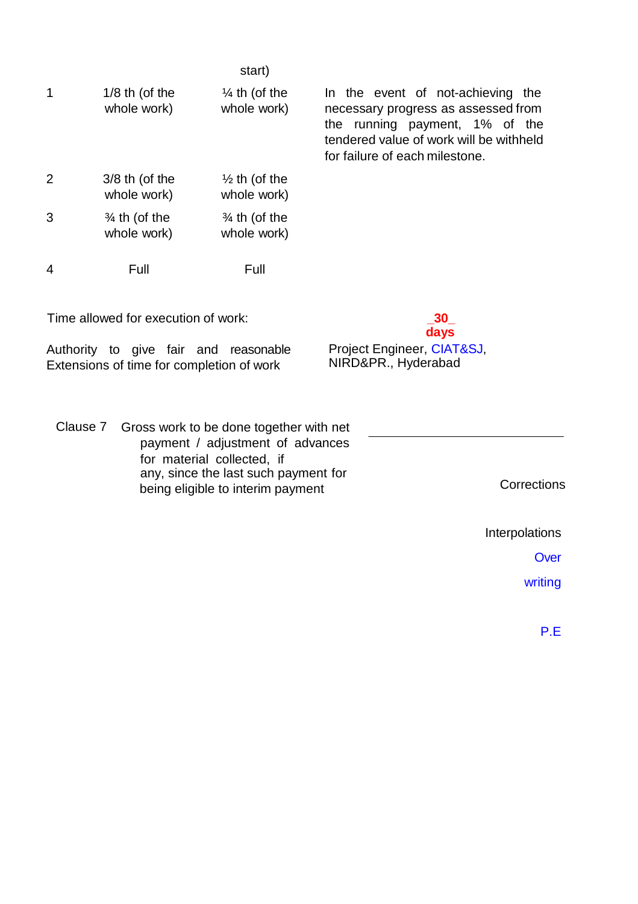|   |                                         | start)                                  |                                                                                                                                                                                         |
|---|-----------------------------------------|-----------------------------------------|-----------------------------------------------------------------------------------------------------------------------------------------------------------------------------------------|
| 1 | $1/8$ th (of the<br>whole work)         | $\frac{1}{4}$ th (of the<br>whole work) | In the event of not-achieving the<br>necessary progress as assessed from<br>the running payment, 1% of the<br>tendered value of work will be withheld<br>for failure of each milestone. |
| 2 | $3/8$ th (of the<br>whole work)         | $\frac{1}{2}$ th (of the<br>whole work) |                                                                                                                                                                                         |
| 3 | $\frac{3}{4}$ th (of the<br>whole work) | $\frac{3}{4}$ th (of the<br>whole work) |                                                                                                                                                                                         |
| 4 | Full                                    | Full                                    |                                                                                                                                                                                         |

Time allowed for execution of work: **\_30\_**

Authority to give fair and reasonable Extensions of time for completion of work

Project Engineer, CIAT&SJ, NIRD&PR., Hyderabad

**days**

Clause 7 Gross work to be done together with net payment / adjustment of advances for material collected, if any, since the last such payment for being eligible to interim payment Corrections

Interpolations

**Over** 

writing

P.E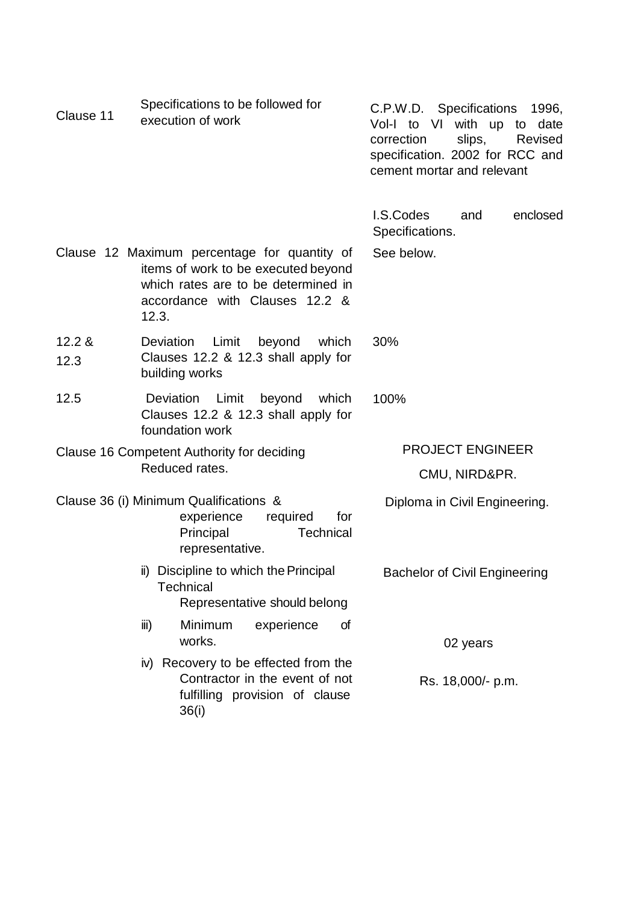| Clause 11                                  | Specifications to be followed for<br>execution of work                                                                                                                | C.P.W.D. Specifications<br>1996,<br>Vol-I to VI<br>with up to<br>date<br>slips,<br>correction<br>Revised<br>specification. 2002 for RCC and<br>cement mortar and relevant |
|--------------------------------------------|-----------------------------------------------------------------------------------------------------------------------------------------------------------------------|---------------------------------------------------------------------------------------------------------------------------------------------------------------------------|
|                                            |                                                                                                                                                                       | I.S.Codes<br>enclosed<br>and<br>Specifications.                                                                                                                           |
|                                            | Clause 12 Maximum percentage for quantity of<br>items of work to be executed beyond<br>which rates are to be determined in<br>accordance with Clauses 12.2 &<br>12.3. | See below.                                                                                                                                                                |
| 12.2 &<br>12.3                             | Limit<br>beyond<br><b>Deviation</b><br>which<br>Clauses 12.2 & 12.3 shall apply for<br>building works                                                                 | 30%                                                                                                                                                                       |
| 12.5                                       | Deviation Limit beyond<br>which<br>Clauses 12.2 & 12.3 shall apply for<br>foundation work                                                                             | 100%                                                                                                                                                                      |
| Clause 16 Competent Authority for deciding |                                                                                                                                                                       | <b>PROJECT ENGINEER</b>                                                                                                                                                   |
|                                            | Reduced rates.                                                                                                                                                        | CMU, NIRD&PR.                                                                                                                                                             |
|                                            | Clause 36 (i) Minimum Qualifications &<br>experience<br>required<br>for<br>Principal<br>Technical<br>representative.                                                  | Diploma in Civil Engineering.                                                                                                                                             |
|                                            | ii) Discipline to which the Principal<br><b>Technical</b><br>Representative should belong                                                                             | <b>Bachelor of Civil Engineering</b>                                                                                                                                      |
|                                            | Minimum<br>experience<br>of<br>iii)<br>works.                                                                                                                         | 02 years                                                                                                                                                                  |
|                                            | iv) Recovery to be effected from the<br>Contractor in the event of not<br>fulfilling provision of clause<br>36(i)                                                     | Rs. 18,000/- p.m.                                                                                                                                                         |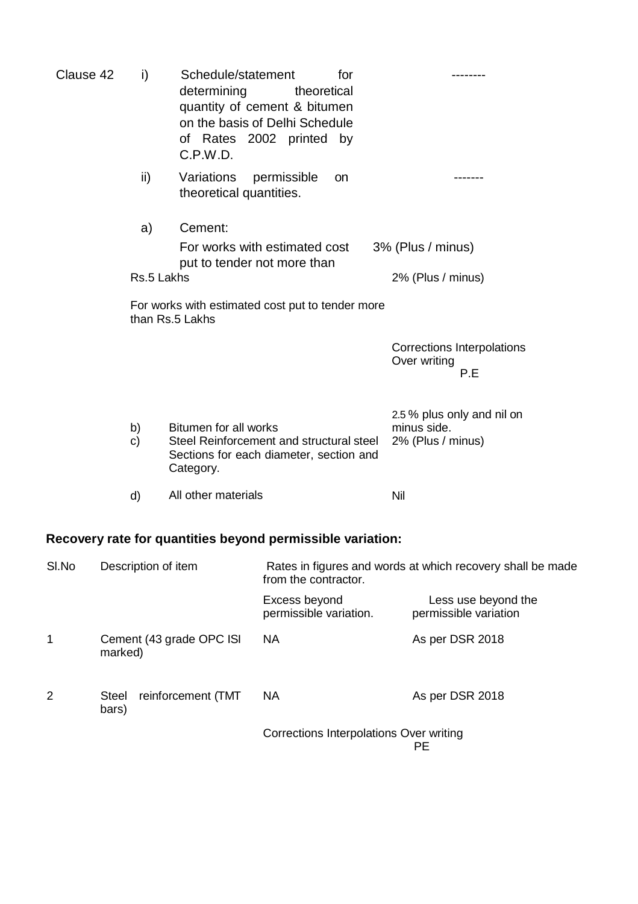| Clause 42 | i)                 | Schedule/statement<br>for<br>determining<br>theoretical<br>quantity of cement & bitumen<br>on the basis of Delhi Schedule<br>of Rates 2002 printed by<br>C.P.W.D. |                                                                |
|-----------|--------------------|-------------------------------------------------------------------------------------------------------------------------------------------------------------------|----------------------------------------------------------------|
|           | ii)                | Variations<br>permissible<br>on<br>theoretical quantities.                                                                                                        |                                                                |
|           | a)                 | Cement:                                                                                                                                                           |                                                                |
|           |                    | For works with estimated cost                                                                                                                                     | 3% (Plus / minus)                                              |
|           | Rs.5 Lakhs         | put to tender not more than                                                                                                                                       | 2% (Plus / minus)                                              |
|           |                    | For works with estimated cost put to tender more<br>than Rs.5 Lakhs                                                                                               |                                                                |
|           |                    |                                                                                                                                                                   | Corrections Interpolations<br>Over writing<br>P.E              |
|           | b)<br>$\mathbf{C}$ | Bitumen for all works<br>Steel Reinforcement and structural steel<br>Sections for each diameter, section and<br>Category.                                         | 2.5 % plus only and nil on<br>minus side.<br>2% (Plus / minus) |
|           | d)                 | All other materials                                                                                                                                               | Nil                                                            |
|           |                    | Recovery rate for quantities beyond permissible variation:                                                                                                        |                                                                |

| SI.No | Description of item                  | Rates in figures and words at which recovery shall be made<br>from the contractor. |                                              |  |
|-------|--------------------------------------|------------------------------------------------------------------------------------|----------------------------------------------|--|
|       |                                      | Excess beyond<br>permissible variation.                                            | Less use beyond the<br>permissible variation |  |
| 1     | Cement (43 grade OPC ISI<br>marked)  | <b>NA</b>                                                                          | As per DSR 2018                              |  |
| 2     | reinforcement (TMT<br>Steel<br>bars) | <b>NA</b>                                                                          | As per DSR 2018                              |  |
|       |                                      | Corrections Interpolations Over writing                                            | PЕ                                           |  |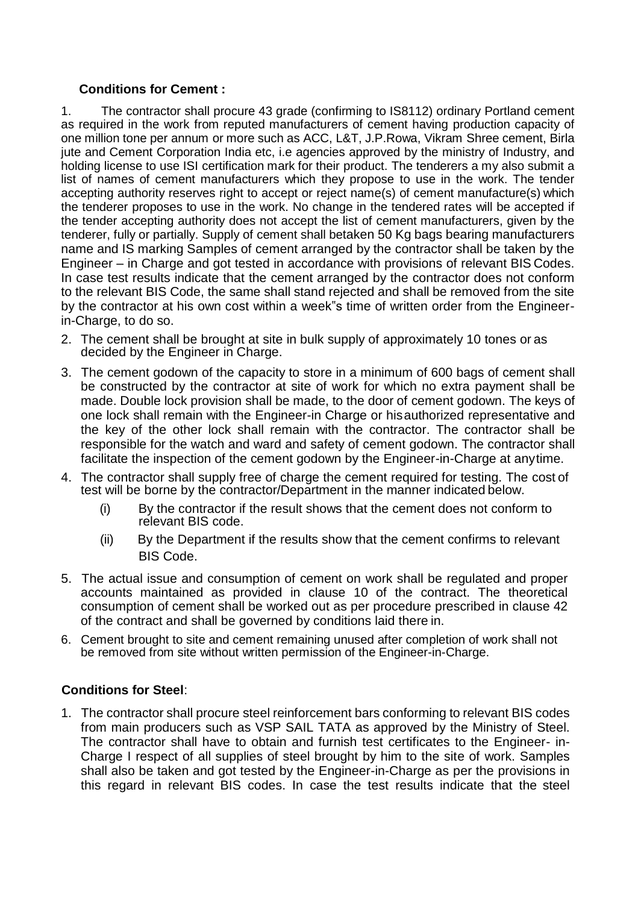### **Conditions for Cement :**

1. The contractor shall procure 43 grade (confirming to IS8112) ordinary Portland cement as required in the work from reputed manufacturers of cement having production capacity of one million tone per annum or more such as ACC, L&T, J.P.Rowa, Vikram Shree cement, Birla jute and Cement Corporation India etc, i.e agencies approved by the ministry of Industry, and holding license to use ISI certification mark for their product. The tenderers a my also submit a list of names of cement manufacturers which they propose to use in the work. The tender accepting authority reserves right to accept or reject name(s) of cement manufacture(s) which the tenderer proposes to use in the work. No change in the tendered rates will be accepted if the tender accepting authority does not accept the list of cement manufacturers, given by the tenderer, fully or partially. Supply of cement shall betaken 50 Kg bags bearing manufacturers name and IS marking Samples of cement arranged by the contractor shall be taken by the Engineer – in Charge and got tested in accordance with provisions of relevant BIS Codes. In case test results indicate that the cement arranged by the contractor does not conform to the relevant BIS Code, the same shall stand rejected and shall be removed from the site by the contractor at his own cost within a week"s time of written order from the Engineerin-Charge, to do so.

- 2. The cement shall be brought at site in bulk supply of approximately 10 tones or as decided by the Engineer in Charge.
- 3. The cement godown of the capacity to store in a minimum of 600 bags of cement shall be constructed by the contractor at site of work for which no extra payment shall be made. Double lock provision shall be made, to the door of cement godown. The keys of one lock shall remain with the Engineer-in Charge or hisauthorized representative and the key of the other lock shall remain with the contractor. The contractor shall be responsible for the watch and ward and safety of cement godown. The contractor shall facilitate the inspection of the cement godown by the Engineer-in-Charge at anytime.
- 4. The contractor shall supply free of charge the cement required for testing. The cost of test will be borne by the contractor/Department in the manner indicated below.
	- (i) By the contractor if the result shows that the cement does not conform to relevant BIS code.
	- (ii) By the Department if the results show that the cement confirms to relevant BIS Code.
- 5. The actual issue and consumption of cement on work shall be regulated and proper accounts maintained as provided in clause 10 of the contract. The theoretical consumption of cement shall be worked out as per procedure prescribed in clause 42 of the contract and shall be governed by conditions laid there in.
- 6. Cement brought to site and cement remaining unused after completion of work shall not be removed from site without written permission of the Engineer-in-Charge.

### **Conditions for Steel**:

1. The contractor shall procure steel reinforcement bars conforming to relevant BIS codes from main producers such as VSP SAIL TATA as approved by the Ministry of Steel. The contractor shall have to obtain and furnish test certificates to the Engineer- in-Charge I respect of all supplies of steel brought by him to the site of work. Samples shall also be taken and got tested by the Engineer-in-Charge as per the provisions in this regard in relevant BIS codes. In case the test results indicate that the steel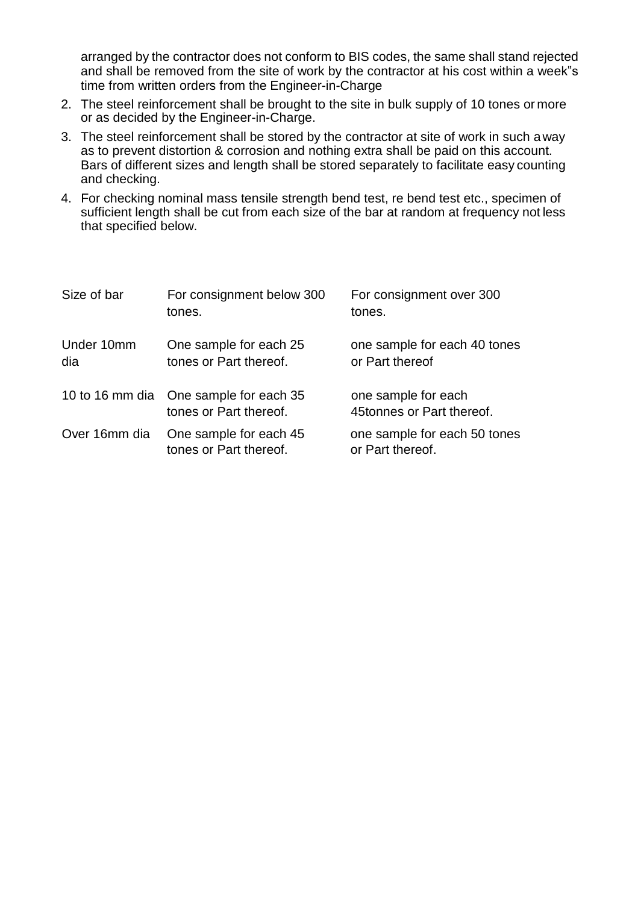arranged by the contractor does not conform to BIS codes, the same shall stand rejected and shall be removed from the site of work by the contractor at his cost within a week"s time from written orders from the Engineer-in-Charge

- 2. The steel reinforcement shall be brought to the site in bulk supply of 10 tones or more or as decided by the Engineer-in-Charge.
- 3. The steel reinforcement shall be stored by the contractor at site of work in such away as to prevent distortion & corrosion and nothing extra shall be paid on this account. Bars of different sizes and length shall be stored separately to facilitate easy counting and checking.
- 4. For checking nominal mass tensile strength bend test, re bend test etc., specimen of sufficient length shall be cut from each size of the bar at random at frequency not less that specified below.

| Size of bar       | For consignment below 300<br>tones.                              | For consignment over 300<br>tones.               |
|-------------------|------------------------------------------------------------------|--------------------------------------------------|
| Under 10mm<br>dia | One sample for each 25<br>tones or Part thereof.                 | one sample for each 40 tones<br>or Part thereof  |
|                   | 10 to 16 mm dia One sample for each 35<br>tones or Part thereof. | one sample for each<br>45tonnes or Part thereof. |
| Over 16mm dia     | One sample for each 45<br>tones or Part thereof.                 | one sample for each 50 tones<br>or Part thereof. |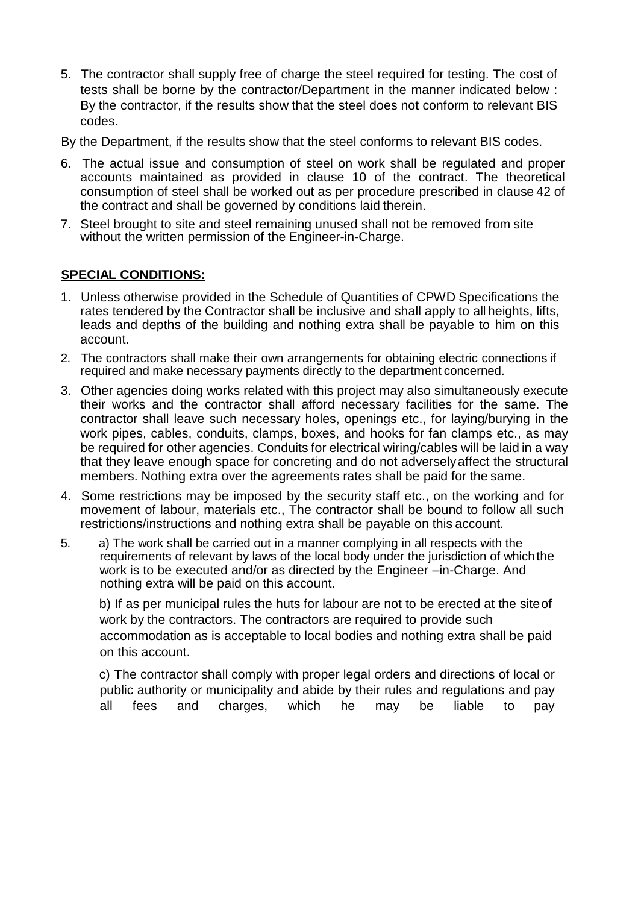5. The contractor shall supply free of charge the steel required for testing. The cost of tests shall be borne by the contractor/Department in the manner indicated below : By the contractor, if the results show that the steel does not conform to relevant BIS codes.

By the Department, if the results show that the steel conforms to relevant BIS codes.

- 6. The actual issue and consumption of steel on work shall be regulated and proper accounts maintained as provided in clause 10 of the contract. The theoretical consumption of steel shall be worked out as per procedure prescribed in clause 42 of the contract and shall be governed by conditions laid therein.
- 7. Steel brought to site and steel remaining unused shall not be removed from site without the written permission of the Engineer-in-Charge.

## **SPECIAL CONDITIONS:**

- 1. Unless otherwise provided in the Schedule of Quantities of CPWD Specifications the rates tendered by the Contractor shall be inclusive and shall apply to all heights, lifts, leads and depths of the building and nothing extra shall be payable to him on this account.
- 2. The contractors shall make their own arrangements for obtaining electric connections if required and make necessary payments directly to the department concerned.
- 3. Other agencies doing works related with this project may also simultaneously execute their works and the contractor shall afford necessary facilities for the same. The contractor shall leave such necessary holes, openings etc., for laying/burying in the work pipes, cables, conduits, clamps, boxes, and hooks for fan clamps etc., as may be required for other agencies. Conduits for electrical wiring/cables will be laid in a way that they leave enough space for concreting and do not adverselyaffect the structural members. Nothing extra over the agreements rates shall be paid for the same.
- 4. Some restrictions may be imposed by the security staff etc., on the working and for movement of labour, materials etc., The contractor shall be bound to follow all such restrictions/instructions and nothing extra shall be payable on this account.
- 5. a) The work shall be carried out in a manner complying in all respects with the requirements of relevant by laws of the local body under the jurisdiction of whichthe work is to be executed and/or as directed by the Engineer –in-Charge. And nothing extra will be paid on this account.

b) If as per municipal rules the huts for labour are not to be erected at the siteof work by the contractors. The contractors are required to provide such accommodation as is acceptable to local bodies and nothing extra shall be paid on this account.

c) The contractor shall comply with proper legal orders and directions of local or public authority or municipality and abide by their rules and regulations and pay all fees and charges, which he may be liable to pay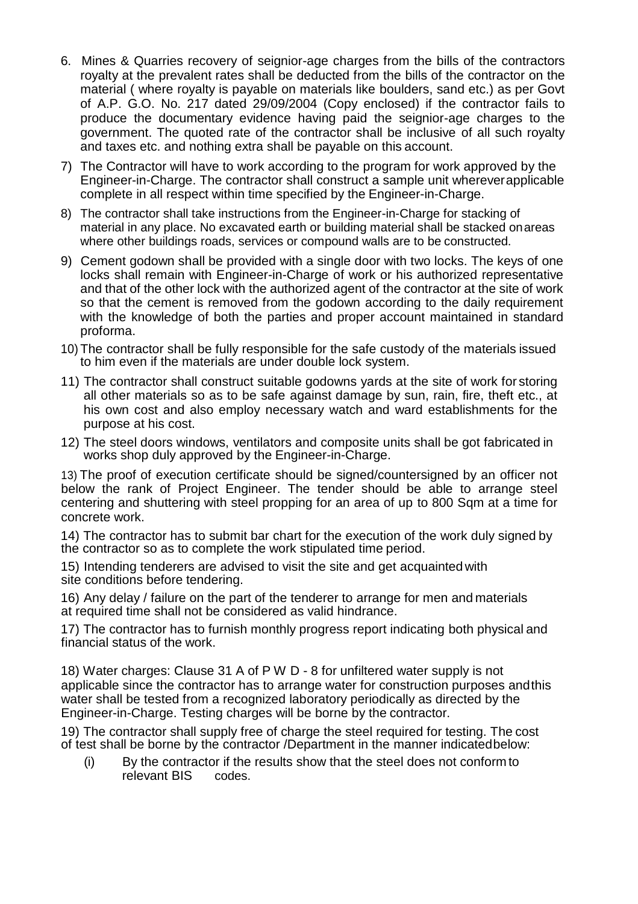- 6. Mines & Quarries recovery of seignior-age charges from the bills of the contractors royalty at the prevalent rates shall be deducted from the bills of the contractor on the material ( where royalty is payable on materials like boulders, sand etc.) as per Govt of A.P. G.O. No. 217 dated 29/09/2004 (Copy enclosed) if the contractor fails to produce the documentary evidence having paid the seignior-age charges to the government. The quoted rate of the contractor shall be inclusive of all such royalty and taxes etc. and nothing extra shall be payable on this account.
- 7) The Contractor will have to work according to the program for work approved by the Engineer-in-Charge. The contractor shall construct a sample unit whereverapplicable complete in all respect within time specified by the Engineer-in-Charge.
- 8) The contractor shall take instructions from the Engineer-in-Charge for stacking of material in any place. No excavated earth or building material shall be stacked onareas where other buildings roads, services or compound walls are to be constructed.
- 9) Cement godown shall be provided with a single door with two locks. The keys of one locks shall remain with Engineer-in-Charge of work or his authorized representative and that of the other lock with the authorized agent of the contractor at the site of work so that the cement is removed from the godown according to the daily requirement with the knowledge of both the parties and proper account maintained in standard proforma.
- 10) The contractor shall be fully responsible for the safe custody of the materials issued to him even if the materials are under double lock system.
- 11) The contractor shall construct suitable godowns yards at the site of work for storing all other materials so as to be safe against damage by sun, rain, fire, theft etc., at his own cost and also employ necessary watch and ward establishments for the purpose at his cost.
- 12) The steel doors windows, ventilators and composite units shall be got fabricated in works shop duly approved by the Engineer-in-Charge.

13) The proof of execution certificate should be signed/countersigned by an officer not below the rank of Project Engineer. The tender should be able to arrange steel centering and shuttering with steel propping for an area of up to 800 Sqm at a time for concrete work.

14) The contractor has to submit bar chart for the execution of the work duly signed by the contractor so as to complete the work stipulated time period.

15) Intending tenderers are advised to visit the site and get acquaintedwith site conditions before tendering.

16) Any delay / failure on the part of the tenderer to arrange for men and materials at required time shall not be considered as valid hindrance.

17) The contractor has to furnish monthly progress report indicating both physical and financial status of the work.

18) Water charges: Clause 31 A of P W D - 8 for unfiltered water supply is not applicable since the contractor has to arrange water for construction purposes andthis water shall be tested from a recognized laboratory periodically as directed by the Engineer-in-Charge. Testing charges will be borne by the contractor.

19) The contractor shall supply free of charge the steel required for testing. The cost of test shall be borne by the contractor /Department in the manner indicatedbelow:

(i) By the contractor if the results show that the steel does not conform to relevant BIS codes.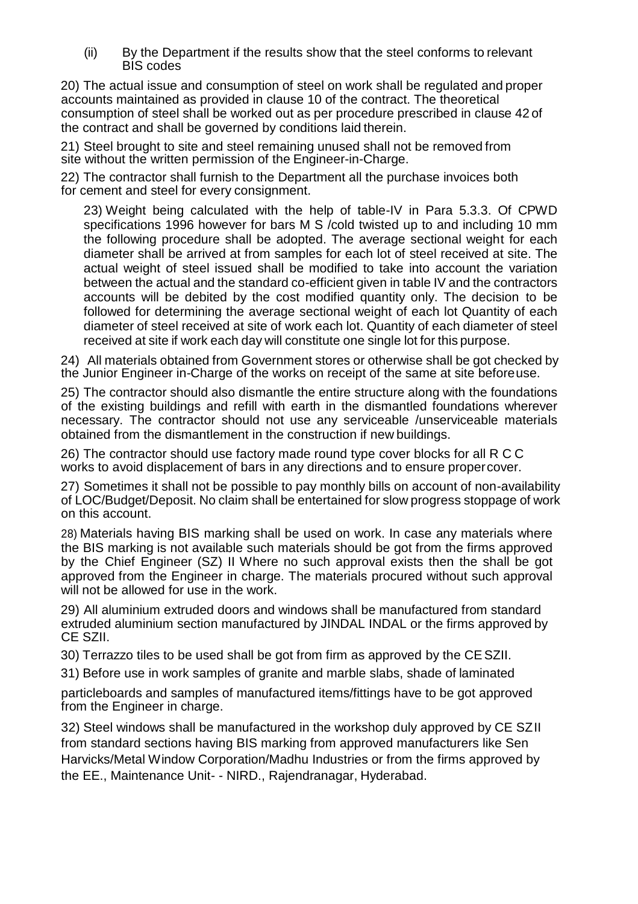(ii) By the Department if the results show that the steel conforms to relevant BIS codes

20) The actual issue and consumption of steel on work shall be regulated and proper accounts maintained as provided in clause 10 of the contract. The theoretical consumption of steel shall be worked out as per procedure prescribed in clause 42 of the contract and shall be governed by conditions laid therein.

21) Steel brought to site and steel remaining unused shall not be removed from site without the written permission of the Engineer-in-Charge.

22) The contractor shall furnish to the Department all the purchase invoices both for cement and steel for every consignment.

23) Weight being calculated with the help of table-IV in Para 5.3.3. Of CPWD specifications 1996 however for bars M S /cold twisted up to and including 10 mm the following procedure shall be adopted. The average sectional weight for each diameter shall be arrived at from samples for each lot of steel received at site. The actual weight of steel issued shall be modified to take into account the variation between the actual and the standard co-efficient given in table IV and the contractors accounts will be debited by the cost modified quantity only. The decision to be followed for determining the average sectional weight of each lot Quantity of each diameter of steel received at site of work each lot. Quantity of each diameter of steel received at site if work each day will constitute one single lot for this purpose.

24) All materials obtained from Government stores or otherwise shall be got checked by the Junior Engineer in-Charge of the works on receipt of the same at site beforeuse.

25) The contractor should also dismantle the entire structure along with the foundations of the existing buildings and refill with earth in the dismantled foundations wherever necessary. The contractor should not use any serviceable /unserviceable materials obtained from the dismantlement in the construction if new buildings.

26) The contractor should use factory made round type cover blocks for all R C C works to avoid displacement of bars in any directions and to ensure propercover.

27) Sometimes it shall not be possible to pay monthly bills on account of non-availability of LOC/Budget/Deposit. No claim shall be entertained for slow progress stoppage of work on this account.

28) Materials having BIS marking shall be used on work. In case any materials where the BIS marking is not available such materials should be got from the firms approved by the Chief Engineer (SZ) II Where no such approval exists then the shall be got approved from the Engineer in charge. The materials procured without such approval will not be allowed for use in the work.

29) All aluminium extruded doors and windows shall be manufactured from standard extruded aluminium section manufactured by JINDAL INDAL or the firms approved by CE SZII.

30) Terrazzo tiles to be used shall be got from firm as approved by the CESZII.

31) Before use in work samples of granite and marble slabs, shade of laminated

particleboards and samples of manufactured items/fittings have to be got approved from the Engineer in charge.

32) Steel windows shall be manufactured in the workshop duly approved by CE SZII from standard sections having BIS marking from approved manufacturers like Sen Harvicks/Metal Window Corporation/Madhu Industries or from the firms approved by the EE., Maintenance Unit- - NIRD., Rajendranagar, Hyderabad.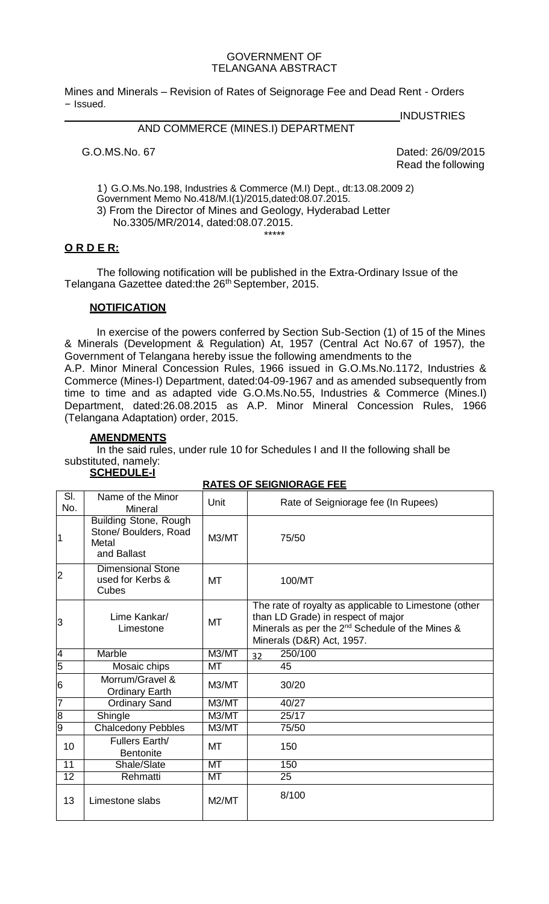#### GOVERNMENT OF TELANGANA ABSTRACT

Mines and Minerals – Revision of Rates of Seignorage Fee and Dead Rent - Orders – Issued.

## AND COMMERCE (MINES.I) DEPARTMENT

**INDUSTRIES** 

G.O.MS.No. 67 Dated: 26/09/2015 Read the following

1) G.O.Ms.No.198, Industries & Commerce (M.I) Dept., dt:13.08.2009 2) Government Memo No.418/M.I(1)/2015,dated:08.07.2015. 3) From the Director of Mines and Geology, Hyderabad Letter No.3305/MR/2014, dated:08.07.2015.

## **O R D E R:**

The following notification will be published in the Extra-Ordinary Issue of the Telangana Gazettee dated:the 26<sup>th</sup> September, 2015.

\*\*\*\*\*

#### **NOTIFICATION**

In exercise of the powers conferred by Section Sub-Section (1) of 15 of the Mines & Minerals (Development & Regulation) At, 1957 (Central Act No.67 of 1957), the Government of Telangana hereby issue the following amendments to the

A.P. Minor Mineral Concession Rules, 1966 issued in G.O.Ms.No.1172, Industries & Commerce (Mines-I) Department, dated:04-09-1967 and as amended subsequently from time to time and as adapted vide G.O.Ms.No.55, Industries & Commerce (Mines.I) Department, dated:26.08.2015 as A.P. Minor Mineral Concession Rules, 1966 (Telangana Adaptation) order, 2015.

#### **AMENDMENTS**

In the said rules, under rule 10 for Schedules I and II the following shall be substituted, namely:

#### **SCHEDULE-I**

#### **RATES OF SEIGNIORAGE FEE**

| SI.<br>No.     | Name of the Minor<br>Mineral                                                  | Unit      | Rate of Seigniorage fee (In Rupees)                                                                                                                                                     |
|----------------|-------------------------------------------------------------------------------|-----------|-----------------------------------------------------------------------------------------------------------------------------------------------------------------------------------------|
| $\vert$ 1      | <b>Building Stone, Rough</b><br>Stone/ Boulders, Road<br>Metal<br>and Ballast | M3/MT     | 75/50                                                                                                                                                                                   |
| $\overline{2}$ | <b>Dimensional Stone</b><br>used for Kerbs &<br>Cubes                         | MT        | 100/MT                                                                                                                                                                                  |
| 3              | Lime Kankar/<br>Limestone                                                     | <b>MT</b> | The rate of royalty as applicable to Limestone (other<br>than LD Grade) in respect of major<br>Minerals as per the 2 <sup>nd</sup> Schedule of the Mines &<br>Minerals (D&R) Act, 1957. |
| $\overline{4}$ | Marble                                                                        | M3/MT     | 250/100<br>32                                                                                                                                                                           |
| $\overline{5}$ | Mosaic chips                                                                  | МT        | 45                                                                                                                                                                                      |
| 6              | Morrum/Gravel &<br><b>Ordinary Earth</b>                                      | M3/MT     | 30/20                                                                                                                                                                                   |
| 7              | <b>Ordinary Sand</b>                                                          | M3/MT     | 40/27                                                                                                                                                                                   |
| $\overline{8}$ | Shingle                                                                       | M3/MT     | 25/17                                                                                                                                                                                   |
| $\overline{9}$ | <b>Chalcedony Pebbles</b>                                                     | M3/MT     | 75/50                                                                                                                                                                                   |
| 10             | Fullers Earth/<br><b>Bentonite</b>                                            | MT        | 150                                                                                                                                                                                     |
| 11             | Shale/Slate                                                                   | <b>MT</b> | 150                                                                                                                                                                                     |
| 12             | Rehmatti                                                                      | МT        | 25                                                                                                                                                                                      |
| 13             | Limestone slabs                                                               | M2/MT     | 8/100                                                                                                                                                                                   |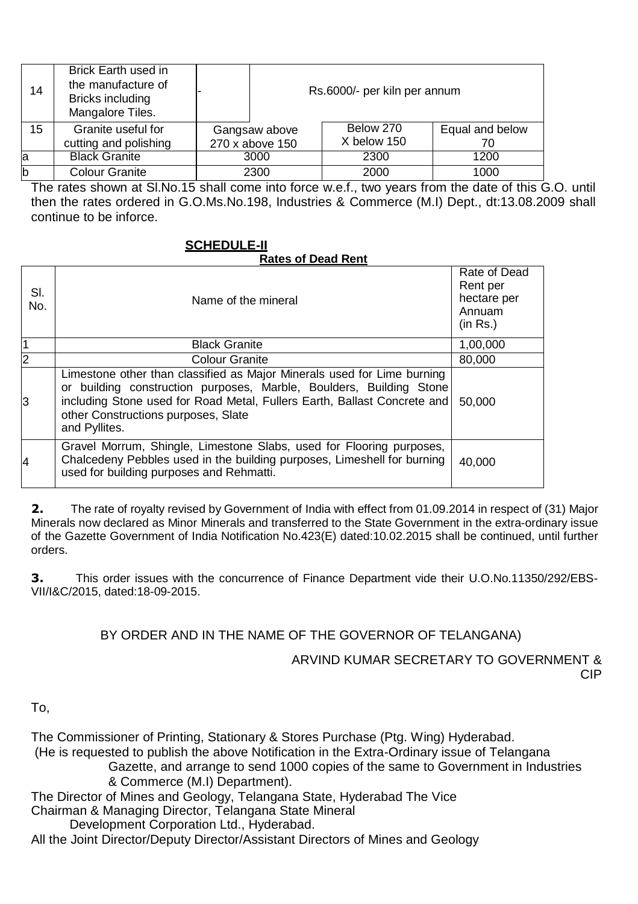| 14           | Brick Earth used in<br>the manufacture of<br>Bricks including<br>Mangalore Tiles. |                                  | Rs.6000/- per kiln per annum |                       |
|--------------|-----------------------------------------------------------------------------------|----------------------------------|------------------------------|-----------------------|
| 15           | Granite useful for<br>cutting and polishing                                       | Gangsaw above<br>270 x above 150 | Below 270<br>X below 150     | Equal and below<br>70 |
| la           | <b>Black Granite</b>                                                              | 3000                             | 2300                         | 1200                  |
| $\mathsf{b}$ | <b>Colour Granite</b>                                                             | 2300                             | 2000                         | 1000                  |

The rates shown at Sl.No.15 shall come into force w.e.f., two years from the date of this G.O. until then the rates ordered in G.O.Ms.No.198, Industries & Commerce (M.I) Dept., dt:13.08.2009 shall continue to be inforce.

# **SCHEDULE-II**

## **Rates of Dead Rent**

| SI.<br>No.     | Name of the mineral                                                                                                                                                                                                                                                                | Rate of Dead<br>Rent per<br>hectare per<br>Annuam<br>(in Rs.) |
|----------------|------------------------------------------------------------------------------------------------------------------------------------------------------------------------------------------------------------------------------------------------------------------------------------|---------------------------------------------------------------|
| 1              | <b>Black Granite</b>                                                                                                                                                                                                                                                               | 1,00,000                                                      |
| $\overline{2}$ | <b>Colour Granite</b>                                                                                                                                                                                                                                                              | 80,000                                                        |
| 3              | Limestone other than classified as Major Minerals used for Lime burning<br>or building construction purposes, Marble, Boulders, Building Stone<br>including Stone used for Road Metal, Fullers Earth, Ballast Concrete and<br>other Constructions purposes, Slate<br>and Pyllites. | 50,000                                                        |
| 4              | Gravel Morrum, Shingle, Limestone Slabs, used for Flooring purposes,<br>Chalcedeny Pebbles used in the building purposes, Limeshell for burning<br>used for building purposes and Rehmatti.                                                                                        | 40,000                                                        |

**2.** The rate of royalty revised by Government of India with effect from 01.09.2014 in respect of (31) Major Minerals now declared as Minor Minerals and transferred to the State Government in the extra-ordinary issue of the Gazette Government of India Notification No.423(E) dated:10.02.2015 shall be continued, until further orders.

**3.** This order issues with the concurrence of Finance Department vide their U.O.No.11350/292/EBS-VII/I&C/2015, dated:18-09-2015.

## BY ORDER AND IN THE NAME OF THE GOVERNOR OF TELANGANA)

ARVIND KUMAR SECRETARY TO GOVERNMENT & CIP

To,

The Commissioner of Printing, Stationary & Stores Purchase (Ptg. Wing) Hyderabad. (He is requested to publish the above Notification in the Extra-Ordinary issue of Telangana Gazette, and arrange to send 1000 copies of the same to Government in Industries & Commerce (M.I) Department).

The Director of Mines and Geology, Telangana State, Hyderabad The Vice

Chairman & Managing Director, Telangana State Mineral

Development Corporation Ltd., Hyderabad.

All the Joint Director/Deputy Director/Assistant Directors of Mines and Geology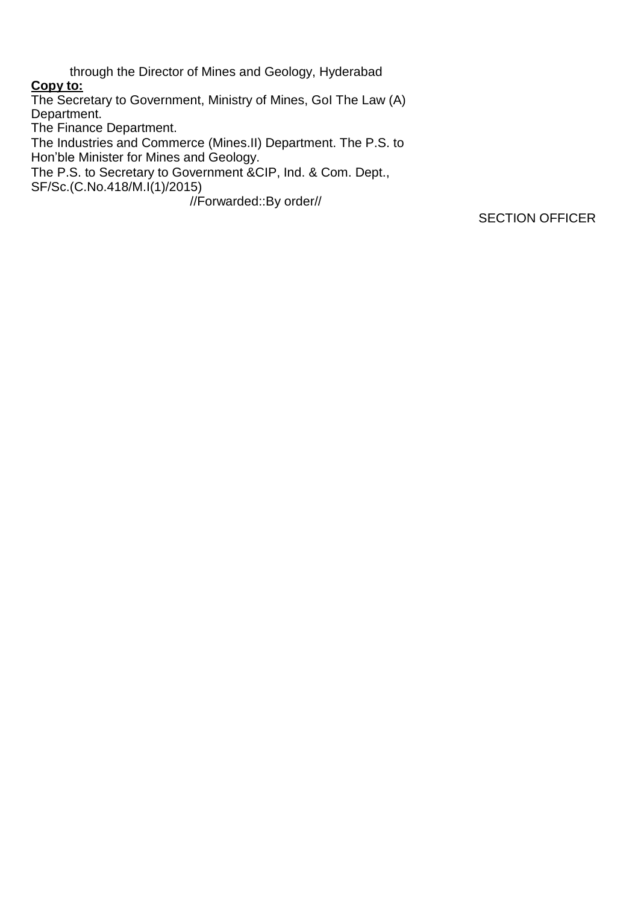through the Director of Mines and Geology, Hyderabad **Copy to:** The Secretary to Government, Ministry of Mines, GoI The Law (A) Department. The Finance Department. The Industries and Commerce (Mines.II) Department. The P.S. to Hon'ble Minister for Mines and Geology. The P.S. to Secretary to Government &CIP, Ind. & Com. Dept.,

SF/Sc.(C.No.418/M.I(1)/2015)

//Forwarded::By order//

SECTION OFFICER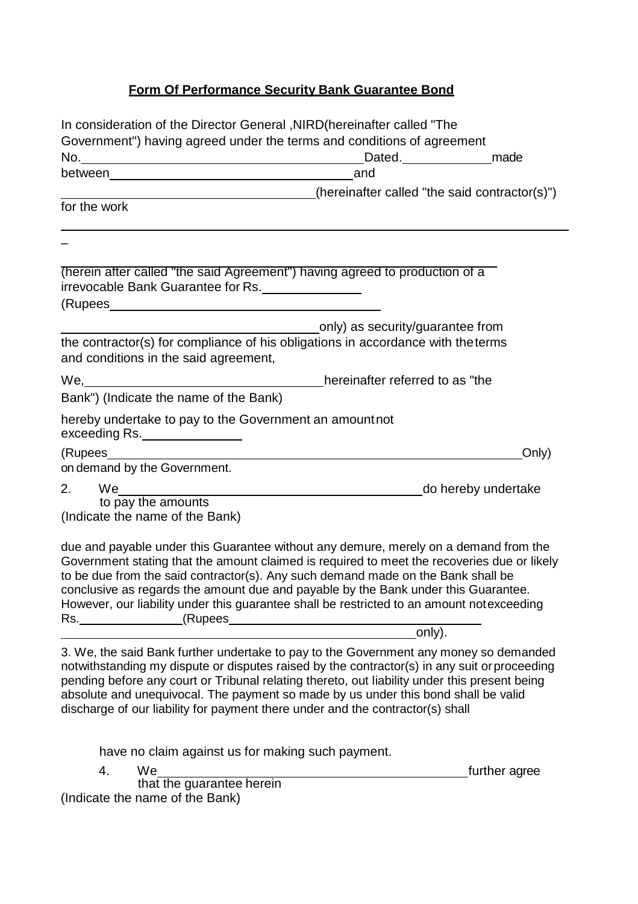## **Form Of Performance Security Bank Guarantee Bond**

| In consideration of the Director General, NIRD (hereinafter called "The                                                                                                                                                                                                                                                                                                                                                                                                                                                                                                                                                                                                                      |                                                     |       |
|----------------------------------------------------------------------------------------------------------------------------------------------------------------------------------------------------------------------------------------------------------------------------------------------------------------------------------------------------------------------------------------------------------------------------------------------------------------------------------------------------------------------------------------------------------------------------------------------------------------------------------------------------------------------------------------------|-----------------------------------------------------|-------|
| Government") having agreed under the terms and conditions of agreement                                                                                                                                                                                                                                                                                                                                                                                                                                                                                                                                                                                                                       |                                                     |       |
|                                                                                                                                                                                                                                                                                                                                                                                                                                                                                                                                                                                                                                                                                              | Dated. <b>COMPANY CONTINUES CONTINUES CONTINUES</b> |       |
|                                                                                                                                                                                                                                                                                                                                                                                                                                                                                                                                                                                                                                                                                              | and                                                 |       |
| (hereinafter called "the said contractor(s)")                                                                                                                                                                                                                                                                                                                                                                                                                                                                                                                                                                                                                                                |                                                     |       |
| for the work                                                                                                                                                                                                                                                                                                                                                                                                                                                                                                                                                                                                                                                                                 |                                                     |       |
|                                                                                                                                                                                                                                                                                                                                                                                                                                                                                                                                                                                                                                                                                              |                                                     |       |
| (herein after called "the said Agreement") having agreed to production of a<br>irrevocable Bank Guarantee for Rs.                                                                                                                                                                                                                                                                                                                                                                                                                                                                                                                                                                            |                                                     |       |
|                                                                                                                                                                                                                                                                                                                                                                                                                                                                                                                                                                                                                                                                                              |                                                     |       |
|                                                                                                                                                                                                                                                                                                                                                                                                                                                                                                                                                                                                                                                                                              | only) as security/guarantee from                    |       |
| the contractor(s) for compliance of his obligations in accordance with the terms<br>and conditions in the said agreement,                                                                                                                                                                                                                                                                                                                                                                                                                                                                                                                                                                    |                                                     |       |
| We, Metal and the present of the present of the hereinafter referred to as "the                                                                                                                                                                                                                                                                                                                                                                                                                                                                                                                                                                                                              |                                                     |       |
| Bank") (Indicate the name of the Bank)                                                                                                                                                                                                                                                                                                                                                                                                                                                                                                                                                                                                                                                       |                                                     |       |
| hereby undertake to pay to the Government an amountnot<br>exceeding Rs.                                                                                                                                                                                                                                                                                                                                                                                                                                                                                                                                                                                                                      |                                                     |       |
|                                                                                                                                                                                                                                                                                                                                                                                                                                                                                                                                                                                                                                                                                              |                                                     | Only) |
| on demand by the Government.                                                                                                                                                                                                                                                                                                                                                                                                                                                                                                                                                                                                                                                                 |                                                     |       |
| 2.                                                                                                                                                                                                                                                                                                                                                                                                                                                                                                                                                                                                                                                                                           | do hereby undertake                                 |       |
| . We_<br>to pay the amounts                                                                                                                                                                                                                                                                                                                                                                                                                                                                                                                                                                                                                                                                  |                                                     |       |
| (Indicate the name of the Bank)                                                                                                                                                                                                                                                                                                                                                                                                                                                                                                                                                                                                                                                              |                                                     |       |
| due and payable under this Guarantee without any demure, merely on a demand from the<br>Government stating that the amount claimed is required to meet the recoveries due or likely<br>to be due from the said contractor(s). Any such demand made on the Bank shall be<br>conclusive as regards the amount due and payable by the Bank under this Guarantee.<br>However, our liability under this guarantee shall be restricted to an amount notexceeding<br>However, our nability virtual and server the server of the server of the contract of the contract of the control of the contract of the contract of the contract of the contract of the contract of the contract of the contra |                                                     |       |
|                                                                                                                                                                                                                                                                                                                                                                                                                                                                                                                                                                                                                                                                                              |                                                     |       |
| 3. We, the said Bank further undertake to pay to the Government any money so demanded<br>notwithstanding my dispute or disputes raised by the contractor(s) in any suit or proceeding<br>pending before any court or Tribunal relating thereto, out liability under this present being<br>absolute and unequivocal. The payment so made by us under this bond shall be valid<br>discharge of our liability for payment there under and the contractor(s) shall                                                                                                                                                                                                                               |                                                     |       |
|                                                                                                                                                                                                                                                                                                                                                                                                                                                                                                                                                                                                                                                                                              |                                                     |       |

have no claim against us for making such payment.

4. We help are the set of the set of the set of the set of the set of the set of the set of the set of the set of the set of the set of the set of the set of the set of the set of the set of the set of the set of the set o

that the guarantee herein (Indicate the name of the Bank)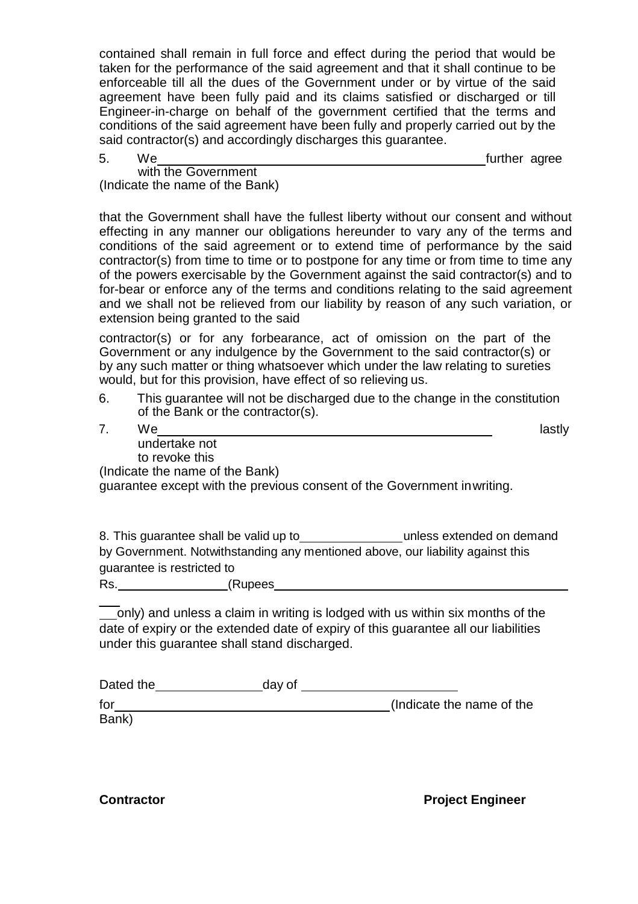contained shall remain in full force and effect during the period that would be taken for the performance of the said agreement and that it shall continue to be enforceable till all the dues of the Government under or by virtue of the said agreement have been fully paid and its claims satisfied or discharged or till Engineer-in-charge on behalf of the government certified that the terms and conditions of the said agreement have been fully and properly carried out by the said contractor(s) and accordingly discharges this guarantee.

5. We further agree that the state of the state of the state of the state of the state of the state of the state of the state of the state of the state of the state of the state of the state of the state of the state of th

with the Government (Indicate the name of the Bank)

that the Government shall have the fullest liberty without our consent and without effecting in any manner our obligations hereunder to vary any of the terms and conditions of the said agreement or to extend time of performance by the said contractor(s) from time to time or to postpone for any time or from time to time any of the powers exercisable by the Government against the said contractor(s) and to for-bear or enforce any of the terms and conditions relating to the said agreement and we shall not be relieved from our liability by reason of any such variation, or extension being granted to the said

contractor(s) or for any forbearance, act of omission on the part of the Government or any indulgence by the Government to the said contractor(s) or by any such matter or thing whatsoever which under the law relating to sureties would, but for this provision, have effect of so relieving us.

- 6. This guarantee will not be discharged due to the change in the constitution of the Bank or the contractor(s).
- 7. We

lastly

undertake not to revoke this

(Indicate the name of the Bank)

guarantee except with the previous consent of the Government inwriting.

8. This guarantee shall be valid up to<br>unless extended on demand by Government. Notwithstanding any mentioned above, our liability against this guarantee is restricted to Rs. (Rupees

 only) and unless a claim in writing is lodged with us within six months of the date of expiry or the extended date of expiry of this guarantee all our liabilities under this guarantee shall stand discharged.

| Dated the | day of |                           |
|-----------|--------|---------------------------|
| for       |        | (Indicate the name of the |
| Bank)     |        |                           |

**Contractor Contractor Project Engineer**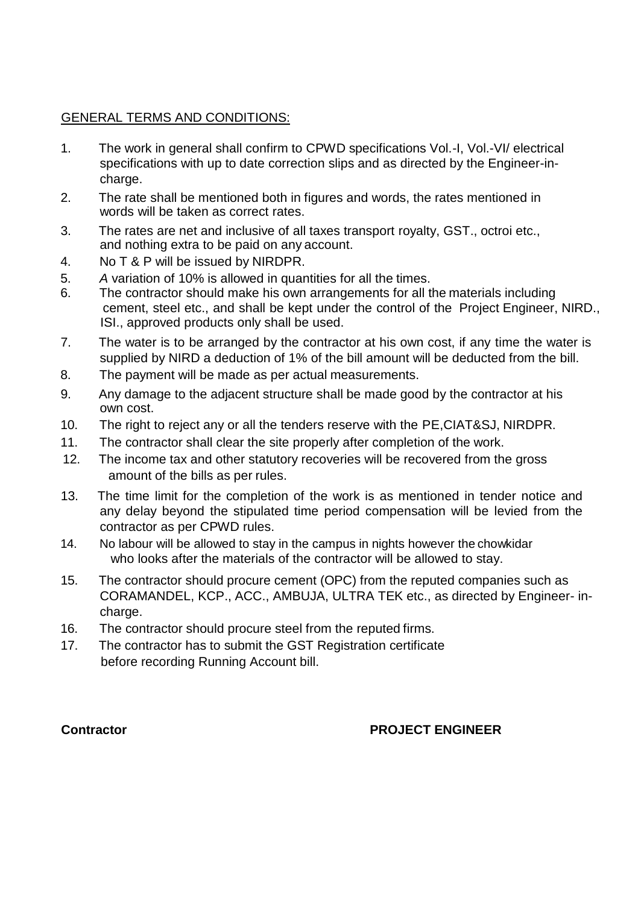## GENERAL TERMS AND CONDITIONS:

- 1. The work in general shall confirm to CPWD specifications Vol.-I, Vol.-VI/ electrical specifications with up to date correction slips and as directed by the Engineer-incharge.
- 2. The rate shall be mentioned both in figures and words, the rates mentioned in words will be taken as correct rates.
- 3. The rates are net and inclusive of all taxes transport royalty, GST., octroi etc., and nothing extra to be paid on any account.
- 4. No T & P will be issued by NIRDPR.
- 5. *A* variation of 10% is allowed in quantities for all the times.
- 6. The contractor should make his own arrangements for all the materials including cement, steel etc., and shall be kept under the control of the Project Engineer, NIRD., ISI., approved products only shall be used.
- 7. The water is to be arranged by the contractor at his own cost, if any time the water is supplied by NIRD a deduction of 1% of the bill amount will be deducted from the bill.
- 8. The payment will be made as per actual measurements.
- 9. Any damage to the adjacent structure shall be made good by the contractor at his own cost.
- 10. The right to reject any or all the tenders reserve with the PE,CIAT&SJ, NIRDPR.
- 11. The contractor shall clear the site properly after completion of the work.
- 12. The income tax and other statutory recoveries will be recovered from the gross amount of the bills as per rules.
- 13. The time limit for the completion of the work is as mentioned in tender notice and any delay beyond the stipulated time period compensation will be levied from the contractor as per CPWD rules.
- 14. No labour will be allowed to stay in the campus in nights however the chowkidar who looks after the materials of the contractor will be allowed to stay.
- 15. The contractor should procure cement (OPC) from the reputed companies such as CORAMANDEL, KCP., ACC., AMBUJA, ULTRA TEK etc., as directed by Engineer- incharge.
- 16. The contractor should procure steel from the reputed firms.
- 17. The contractor has to submit the GST Registration certificate before recording Running Account bill.

## **Contractor PROJECT ENGINEER**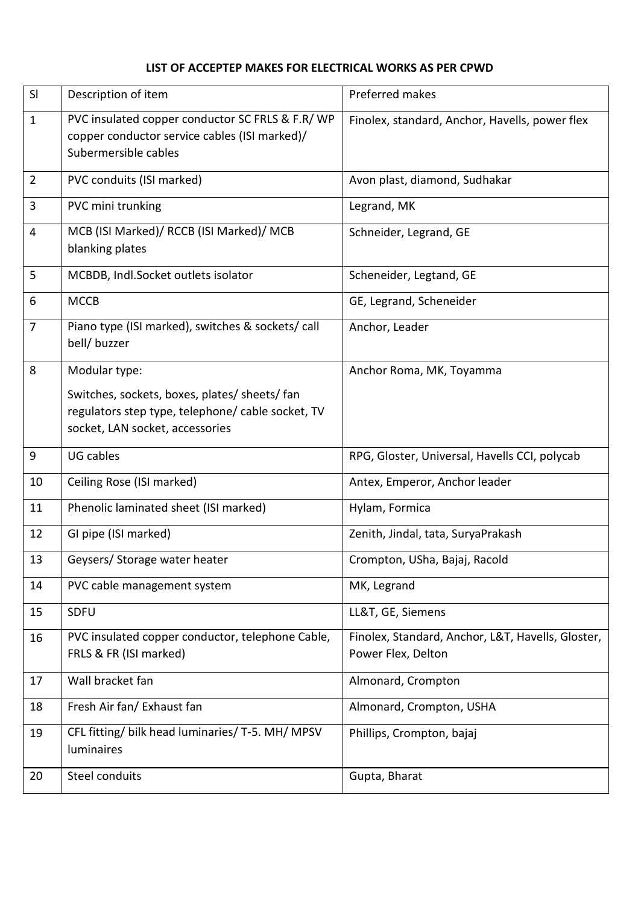### **LIST OF ACCEPTEP MAKES FOR ELECTRICAL WORKS AS PER CPWD**

| SI             | Description of item                                                                                                                                    | Preferred makes                                                         |
|----------------|--------------------------------------------------------------------------------------------------------------------------------------------------------|-------------------------------------------------------------------------|
| $\mathbf{1}$   | PVC insulated copper conductor SC FRLS & F.R/WP<br>copper conductor service cables (ISI marked)/<br>Subermersible cables                               | Finolex, standard, Anchor, Havells, power flex                          |
| $\overline{2}$ | PVC conduits (ISI marked)                                                                                                                              | Avon plast, diamond, Sudhakar                                           |
| 3              | PVC mini trunking                                                                                                                                      | Legrand, MK                                                             |
| $\overline{4}$ | MCB (ISI Marked)/ RCCB (ISI Marked)/ MCB<br>blanking plates                                                                                            | Schneider, Legrand, GE                                                  |
| 5              | MCBDB, Indl.Socket outlets isolator                                                                                                                    | Scheneider, Legtand, GE                                                 |
| 6              | <b>MCCB</b>                                                                                                                                            | GE, Legrand, Scheneider                                                 |
| $\overline{7}$ | Piano type (ISI marked), switches & sockets/call<br>bell/ buzzer                                                                                       | Anchor, Leader                                                          |
| 8              | Modular type:<br>Switches, sockets, boxes, plates/ sheets/ fan<br>regulators step type, telephone/ cable socket, TV<br>socket, LAN socket, accessories | Anchor Roma, MK, Toyamma                                                |
| 9              | UG cables                                                                                                                                              | RPG, Gloster, Universal, Havells CCI, polycab                           |
| 10             | Ceiling Rose (ISI marked)                                                                                                                              | Antex, Emperor, Anchor leader                                           |
| 11             | Phenolic laminated sheet (ISI marked)                                                                                                                  | Hylam, Formica                                                          |
| 12             | GI pipe (ISI marked)                                                                                                                                   | Zenith, Jindal, tata, SuryaPrakash                                      |
| 13             | Geysers/ Storage water heater                                                                                                                          | Crompton, USha, Bajaj, Racold                                           |
| 14             | PVC cable management system                                                                                                                            | MK, Legrand                                                             |
| 15             | SDFU                                                                                                                                                   | LL&T, GE, Siemens                                                       |
| 16             | PVC insulated copper conductor, telephone Cable,<br>FRLS & FR (ISI marked)                                                                             | Finolex, Standard, Anchor, L&T, Havells, Gloster,<br>Power Flex, Delton |
| 17             | Wall bracket fan                                                                                                                                       | Almonard, Crompton                                                      |
| 18             | Fresh Air fan/ Exhaust fan                                                                                                                             | Almonard, Crompton, USHA                                                |
| 19             | CFL fitting/ bilk head luminaries/ T-5. MH/ MPSV<br>luminaires                                                                                         | Phillips, Crompton, bajaj                                               |
| 20             | Steel conduits                                                                                                                                         | Gupta, Bharat                                                           |